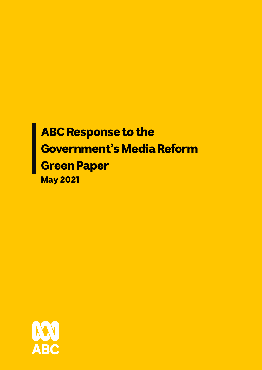# ABC Response to the Government's Media Reform Green Paper May 2021

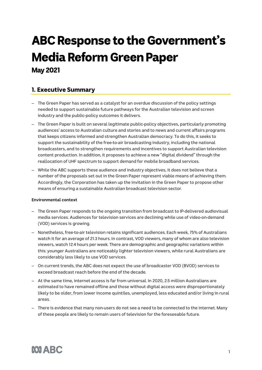# ABC Response to the Government's Media Reform Green Paper May 2021

# 1. Executive Summary

- The Green Paper has served as a catalyst for an overdue discussion of the policy settings needed to support sustainable future pathways for the Australian television and screen industry and the public-policy outcomes it delivers.
- The Green Paper is built on several legitimate public-policy objectives, particularly promoting audiences' access to Australian culture and stories and to news and current affairs programs that keeps citizens informed and strengthen Australian democracy. To do this, it seeks to support the sustainability of the free-to-air broadcasting industry, including the national broadcasters, and to strengthen requirements and incentives to support Australian television content production. In addition, it proposes to achieve a new "digital dividend" through the reallocation of UHF spectrum to support demand for mobile broadband services.
- While the ABC supports these audience and industry objectives, it does not believe that a number of the proposals set out in the Green Paper represent viable means of achieving them. Accordingly, the Corporation has taken up the invitation in the Green Paper to propose other means of ensuring a sustainable Australian broadcast television sector.

## **Environmental context**

- The Green Paper responds to the ongoing transition from broadcast to IP-delivered audiovisual media services. Audiences for television services are declining while use of video-on-demand (VOD) services is growing.
- Nonetheless, free-to-air television retains significant audiences. Each week, 75% of Australians watch it for an average of 21.3 hours. In contrast, VOD viewers, many of whom are also television viewers, watch 12.4 hours per week. There are demographic and geographic variations within this: younger Australians are noticeably lighter television viewers, while rural Australians are considerably less likely to use VOD services.
- On current trends, the ABC does not expect the use of broadcaster VOD (BVOD) services to exceed broadcast reach before the end of the decade.
- At the same time, internet access is far from universal. In 2020, 2.5 million Australians are estimated to have remained offline and those without digital access were disproportionately likely to be older, from lower income quintiles, unemployed, less educated and/or living in rural areas.
- There is evidence that many non-users do not see a need to be connected to the internet. Many of these people are likely to remain users of television for the foreseeable future.

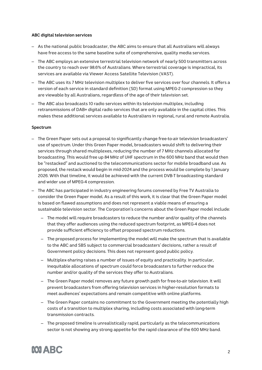#### **ABC digital television services**

- As the national public broadcaster, the ABC aims to ensure that all Australians will always have free access to the same baseline suite of comprehensive, quality media services.
- The ABC employs an extensive terrestrial television network of nearly 500 transmitters across the country to reach over 98.6% of Australians. Where terrestrial coverage is impractical, its services are available via Viewer Access Satellite Television (VAST).
- The ABC uses its 7 MHz television multiplex to deliver five services over four channels. It offers a version of each service in standard definition (SD) format using MPEG-2 compression so they are viewable by all Australians, regardless of the age of their television set.
- The ABC also broadcasts 10 radio services within its television multiplex, including retransmissions of DAB+ digital radio services that are only available in the capital cities. This makes these additional services available to Australians in regional, rural and remote Australia.

#### **Spectrum**

- The Green Paper sets out a proposal to significantly change free-to-air television broadcasters' use of spectrum. Under this Green Paper model, broadcasters would shift to delivering their services through shared multiplexes, reducing the number of 7 MHz channels allocated for broadcasting. This would free up 84 MHz of UHF spectrum in the 600 MHz band that would then be "restacked" and auctioned to the telecommunications sector for mobile broadband use. As proposed, the restack would begin in mid-2024 and the process would be complete by 1 January 2026. With that timeline, it would be achieved with the current DVB-T broadcasting standard and wider use of MPEG-4 compression.
- The ABC has participated in industry engineering forums convened by Free TV Australia to consider the Green Paper model. As a result of this work, it is clear that the Green Paper model is based on flawed assumptions and does not represent a viable means of ensuring a sustainable television sector. The Corporation's concerns about the Green Paper model include:
	- The model will require broadcasters to reduce the number and/or quality of the channels that they offer audiences using the reduced spectrum footprint, as MPEG-4 does not provide sufficient efficiency to offset proposed spectrum reductions.
	- The proposed process for implementing the model will make the spectrum that is available to the ABC and SBS subject to commercial broadcasters' decisions, rather a result of Government policy decisions. This does not represent good public policy.
	- Multiplex-sharing raises a number of issues of equity and practicality. In particular, inequitable allocations of spectrum could force broadcasters to further reduce the number and/or quality of the services they offer to Australians.
	- The Green Paper model removes any future growth path for free-to-air television. It will prevent broadcasters from offering television services in higher-resolution formats to meet audiences' expectations and remain competitive with online platforms.
	- The Green Paper contains no commitment to the Government meeting the potentially high costs of a transition to multiplex sharing, including costs associated with long-term transmission contracts.
	- The proposed timeline is unrealistically rapid, particularly as the telecommunications sector is not showing any strong appetite for the rapid clearance of the 600 MHz band.

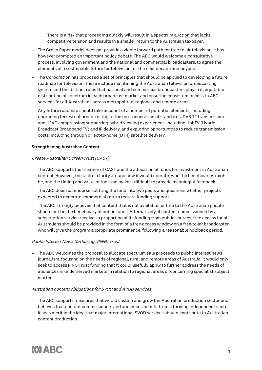There is a risk that proceeding quickly will result in a spectrum auction that lacks competitive tension and results in a smaller return to the Australian taxpayer.

- The Green Paper model does not provide a viable forward path for free-to-air television. It has however prompted an important policy debate. The ABC would welcome a consultative process, involving government and the national and commercial broadcasters, to agree the elements of a sustainable future for television for the next decade and beyond.
- The Corporation has proposed a set of principles that should be applied to developing a future roadmap for television. These include maintaining the Australian television broadcasting system and the distinct roles that national and commercial broadcasters play in it, equitable distribution of spectrum in each broadcast market and ensuring consistent access to ABC services for all Australians across metropolitan, regional and remote areas.
- Any future roadmap should take account of a number of potential elements, including: upgrading terrestrial broadcasting to the next generation of standards, DVB-T2 transmission and HEVC compression; supporting hybrid viewing experiences, including HbbTV (Hybrid Broadcast Broadband TV) and IP delivery; and exploring opportunities to reduce transmission costs, including through direct-to-home (DTH) satellite delivery.

#### **Strengthening Australian Content**

#### Create Australian Screen Trust (CAST)

- The ABC supports the creation of CAST and the allocation of funds for investment in Australian content. However, the lack of clarity around how it would operate, who the beneficiaries might be, and the timing and value of the fund make it difficult to provide meaningful feedback.
- The ABC does not endorse splitting the fund into two pools and questions whether projects expected to generate commercial return require funding support.
- The ABC strongly believes that content that is not available for free to the Australian people should not be the beneficiary of public funds. Alternatively, if content commissioned by a subscription service receives a proportion of its funding from public sources, free access for all Australians should be provided in the form of a free-access window on a free-to-air broadcaster who will give the program appropriate prominence, following a reasonable holdback period.

#### Public Interest News Gathering (PING) Trust

– The ABC welcomes the proposal to allocate spectrum sale proceeds to public interest news journalism, focusing on the needs of regional, rural and remote areas of Australia. It would only seek to access PING Trust funding that it could usefully apply to further address the needs of audiences in underserved markets in relation to regional areas or concerning specialist subject matter.

#### Australian content obligations for SVOD and AVOD services

– The ABC supports measures that would sustain and grow the Australian production sector and believes that content commissioners and audiences benefit from a thriving independent sector. It sees merit in the idea that major international SVOD services should contribute to Australian content production.

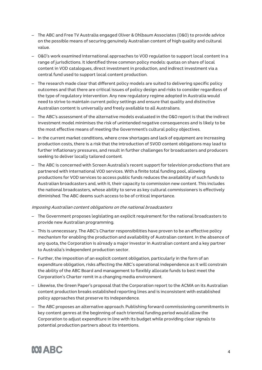- The ABC and Free TV Australia engaged Oliver & Ohlbaum Associates (O&O) to provide advice on the possible means of securing genuinely Australian content of high quality and cultural value.
- O&O's work examined international approaches to VOD regulation to support local content in a range of jurisdictions. It identified three common policy models: quotas on share of local content in VOD catalogues, direct investment in production, and indirect investment via a central fund used to support local content production.
- The research made clear that different policy models are suited to delivering specific policy outcomes and that there are critical issues of policy design and risks to consider regardless of the type of regulatory intervention. Any new regulatory regime adopted in Australia would need to strive to maintain current policy settings and ensure that quality and distinctive Australian content is universally and freely available to all Australians.
- The ABC's assessment of the alternative models evaluated in the O&O report is that the indirect investment model minimises the risk of unintended negative consequences and is likely to be the most effective means of meeting the Government's cultural policy objectives.
- In the current market conditions, where crew shortages and lack of equipment are increasing production costs, there is a risk that the introduction of SVOD content obligations may lead to further inflationary pressures, and result in further challenges for broadcasters and producers seeking to deliver locally tailored content.
- The ABC is concerned with Screen Australia's recent support for television productions that are partnered with international VOD services. With a finite total funding pool, allowing productions for VOD services to access public funds reduces the availability of such funds to Australian broadcasters and, with it, their capacity to commission new content. This includes the national broadcasters, whose ability to serve as key cultural commissioners is effectively diminished. The ABC deems such access to be of critical importance.

#### Imposing Australian content obligations on the national broadcasters

- The Government proposes legislating an explicit requirement for the national broadcasters to provide new Australian programming.
- This is unnecessary. The ABC's Charter responsibilities have proven to be an effective policy mechanism for enabling the production and availability of Australian content. In the absence of any quota, the Corporation is already a major investor in Australian content and a key partner to Australia's independent production sector.
- Further, the imposition of an explicit content obligation, particularly in the form of an expenditure obligation, risks affecting the ABC's operational independence as it will constrain the ability of the ABC Board and management to flexibly allocate funds to best meet the Corporation's Charter remit in a changing media environment.
- Likewise, the Green Paper's proposal that the Corporation report to the ACMA on its Australian content production breaks established reporting lines and is inconsistent with established policy approaches that preserve its independence.
- The ABC proposes an alternative approach. Publishing forward commissioning commitments in key content genres at the beginning of each triennial funding period would allow the Corporation to adjust expenditure in line with its budget while providing clear signals to potential production partners about its intentions.

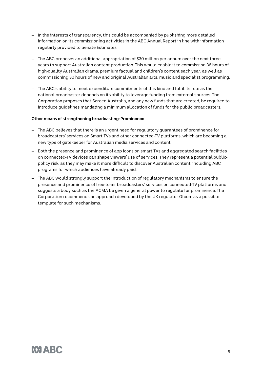- In the interests of transparency, this could be accompanied by publishing more detailed information on its commissioning activities in the ABC Annual Report in line with information regularly provided to Senate Estimates.
- The ABC proposes an additional appropriation of \$30 million per annum over the next three years to support Australian content production. This would enable it to commission 36 hours of high-quality Australian drama, premium factual and children's content each year, as well as commissioning 30 hours of new and original Australian arts, music and specialist programming.
- The ABC's ability to meet expenditure commitments of this kind and fulfil its role as the national broadcaster depends on its ability to leverage funding from external sources. The Corporation proposes that Screen Australia, and any new funds that are created, be required to introduce guidelines mandating a minimum allocation of funds for the public broadcasters.

#### **Other means of strengthening broadcasting: Prominence**

- The ABC believes that there is an urgent need for regulatory guarantees of prominence for broadcasters' services on Smart TVs and other connected-TV platforms, which are becoming a new type of gatekeeper for Australian media services and content.
- Both the presence and prominence of app icons on smart TVs and aggregated search facilities on connected-TV devices can shape viewers' use of services. They represent a potential publicpolicy risk, as they may make it more difficult to discover Australian content, including ABC programs for which audiences have already paid.
- The ABC would strongly support the introduction of regulatory mechanisms to ensure the presence and prominence of free-to-air broadcasters' services on connected-TV platforms and suggests a body such as the ACMA be given a general power to regulate for prominence. The Corporation recommends an approach developed by the UK regulator Ofcom as a possible template for such mechanisms.

# **MIARC**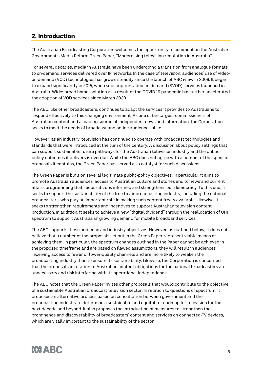# 2. Introduction

The Australian Broadcasting Corporation welcomes the opportunity to comment on the Australian Government's Media Reform Green Paper, "Modernising television regulation in Australia".

For several decades, media in Australia have been undergoing a transition from analogue formats to on-demand services delivered over IP networks. In the case of television, audiences' use of videoon-demand (VOD) technologies has grown steadily since the launch of ABC iview in 2008. It began to expand significantly in 2015, when subscription video-on-demand (SVOD) services launched in Australia. Widespread home isolation as a result of the COVID-19 pandemic has further accelerated the adoption of VOD services since March 2020.

The ABC, like other broadcasters, continues to adapt the services it provides to Australians to respond effectively to this changing environment. As one of the largest commissioners of Australian content and a leading source of independent news and information, the Corporation seeks to meet the needs of broadcast and online audiences alike.

However, as an industry, television has continued to operate with broadcast technologies and standards that were introduced at the turn of the century. A discussion about policy settings that can support sustainable future pathways for the Australian television industry and the publicpolicy outcomes it delivers is overdue. While the ABC does not agree with a number of the specific proposals it contains, the Green Paper has served as a catalyst for such discussions.

The Green Paper is built on several legitimate public-policy objectives. In particular, it aims to promote Australian audiences' access to Australian culture and stories and to news and current affairs programming that keeps citizens informed and strengthens our democracy. To this end, it seeks to support the sustainability of the free-to-air broadcasting industry, including the national broadcasters, who play an important role in making such content freely available. Likewise, it seeks to strengthen requirements and incentives to support Australian television content production. In addition, it seeks to achieve a new "digital dividend" through the reallocation of UHF spectrum to support Australians' growing demand for mobile broadband services.

The ABC supports these audience and industry objectives. However, as outlined below, it does not believe that a number of the proposals set out in the Green Paper represent viable means of achieving them. In particular, the spectrum changes outlined in the Paper cannot be achieved in the proposed timeframe and are based on flawed assumptions; they will result in audiences receiving access to fewer or lower-quality channels and are more likely to weaken the broadcasting industry than to ensure its sustainability. Likewise, the Corporation is concerned that the proposals in relation to Australian content obligations for the national broadcasters are unnecessary and risk interfering with its operational independence.

The ABC notes that the Green Paper invites other proposals that would contribute to the objective of a sustainable Australian broadcast television sector. In relation to questions of spectrum, it proposes an alternative process based on consultation between government and the broadcasting industry to determine a sustainable and equitable roadmap for television for the next decade and beyond. It also proposes the introduction of measures to strengthen the prominence and discoverability of broadcasters' content and services on connected-TV devices, which are vitally important to the sustainability of the sector.

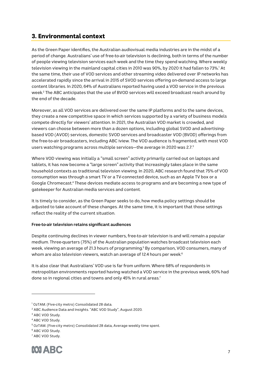# 3. Environmental context

As the Green Paper identifies, the Australian audiovisual media industries are in the midst of a period of change. Australians' use of free-to-air television is declining, both in terms of the number of people viewing television services each week and the time they spend watching. Where weekly television viewing in the mainland capital cities in 2010 was 90%, by 2020 it had fallen to 73%.<sup>1</sup> At the same time, their use of VOD services and other streaming video delivered over IP networks has accelerated rapidly since the arrival in 2015 of SVOD services offering on-demand access to large content libraries. In 2020, 64% of Australians reported having used a VOD service in the previous week.2 The ABC anticipates that the use of BVOD services will exceed broadcast reach around by the end of the decade.

Moreover, as all VOD services are delivered over the same IP platforms and to the same devices, they create a new competitive space in which services supported by a variety of business models compete directly for viewers' attention. In 2021, the Australian VOD market is crowded, and viewers can choose between more than a dozen options, including global SVOD and advertisingbased VOD (AVOD) services, domestic SVOD services and broadcaster VOD (BVOD) offerings from the free-to-air broadcasters, including ABC iview. The VOD audience is fragmented, with most VOD users watching programs across multiple services—the average in 2020 was 2.7. 3

Where VOD viewing was initially a "small screen" activity primarily carried out on laptops and tablets, it has now become a "large screen" activity that increasingly takes place in the same household contexts as traditional television viewing. In 2020, ABC research found that 75% of VOD consumption was through a smart TV or a TV-connected device, such as an Apple TV box or a Google Chromecast.4 These devices mediate access to programs and are becoming a new type of gatekeeper for Australian media services and content.

It is timely to consider, as the Green Paper seeks to do, how media policy settings should be adjusted to take account of these changes. At the same time, it is important that those settings reflect the reality of the current situation.

## **Free-to-air television retains significant audiences**

Despite continuing declines in viewer numbers, free-to-air television is and will remain a popular medium. Three-quarters (75%) of the Australian population watches broadcast television each week, viewing an average of 21.3 hours of programming. <sup>5</sup> By comparison, VOD consumers, many of whom are also television viewers, watch an average of 12.4 hours per week. $^{\rm 6}$ 

It is also clear that Australians' VOD use is far from uniform. Where 68% of respondents in metropolitan environments reported having watched a VOD service in the previous week, 60% had done so in regional cities and towns and only 45% in rural areas.<sup>7</sup>

<sup>7</sup> ABC VOD Study.



<sup>&</sup>lt;sup>1</sup> OzTAM. (Five-city metro) Consolidated 28 data.

<sup>2</sup> ABC Audience Data and Insights. "ABC VOD Study", August 2020.

<sup>3</sup> ABC VOD Study.

<sup>4</sup> ABC VOD Study.

<sup>5</sup> OzTAM. (Five-city metro) Consolidated 28 data, Average weekly time spent.

<sup>6</sup> ABC VOD Study.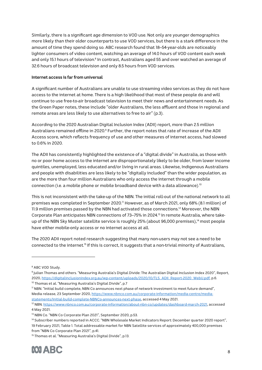Similarly, there is a significant age dimension to VOD use. Not only are younger demographics more likely than their older counterparts to use VOD services, but there is a stark difference in the amount of time they spend doing so. ABC research found that 18–54-year-olds are noticeably lighter consumers of video content, watching an average of 14.0 hours of VOD content each week and only 15.1 hours of television.<sup>8</sup> In contrast, Australians aged 55 and over watched an average of 32.6 hours of broadcast television and only 8.5 hours from VOD services.

#### **Internet access is far from universal**

A significant number of Australians are unable to use streaming video services as they do not have access to the internet at home. There is a high likelihood that most of these people do and will continue to use free-to-air broadcast television to meet their news and entertainment needs. As the Green Paper notes, these include "older Australians, the less affluent and those in regional and remote areas are less likely to use alternatives to free to air" (p.3).

According to the 2020 Australian Digital Inclusion Index (ADII) report, more than 2.5 million Australians remained offline in 2020.<sup>9</sup> Further, the report notes that rate of increase of the ADII Access score, which reflects frequency of use and other measures of internet access, had slowed to 0.6% in 2020.

The ADII has consistently highlighted the existence of a "digital divide" in Australia, as those with no or poor home access to the internet are disproportionately likely to be older, from lower income quintiles, unemployed, less educated and/or living in rural areas. Likewise, Indigenous Australians and people with disabilities are less likely to be "digitally included" than the wider population, as are the more than four million Australians who only access the internet through a mobile connection (i.e. a mobile phone or mobile broadband device with a data allowance).<sup>10</sup>

This is not inconsistent with the take-up of the NBN. The initial roll-out of the national network to all premises was completed in September 2020.<sup>11</sup> However, as of March 2021, only 68% (8.1 million) of 11.9 million premises passed by the NBN had activated those connections.<sup>12</sup> Moreover, the NBN Corporate Plan anticipates NBN connections of 73–75% in 2024.13 In remote Australia, where takeup of the NBN Sky Muster satellite service is roughly 25% (about 96,000 premises),<sup>14</sup> most people have either mobile-only access or no internet access at all.

The 2020 ADII report noted research suggesting that many non-users may not see a need to be connected to the internet. <sup>15</sup> If this is correct, it suggests that a non-trivial minority of Australians,

<sup>&</sup>lt;sup>15</sup> Thomas et al. "Measuring Australia's Digital Divide", p.13.



<sup>8</sup> ABC VOD Study.

<sup>&</sup>lt;sup>9</sup> Julian Thomas and others. "Measuring Australia's Digital Divide: The Australian Digital Inclusion Index 2020", Report, 2020, https://digitalinclusionindex.org.au/wp-content/uploads/2020/10/TLS\_ADII\_Report-2020\_WebU.pdf, p.6. <sup>10</sup> Thomas et al. "Measuring Australia's Digital Divide", p.7

<sup>11</sup> NBN. "Initial build complete, NBN Co announces next phase of network investment to meet future demand", Media release, 23 September 2020, https://www.nbnco.com.au/corporate-information/media-centre/mediastatements/Initial-build-complete-NBNCo-announces-next-phase, accessed 4 May 2021.

<sup>12</sup> NBN. https://www.nbnco.com.au/corporate-information/about-nbn-co/updates/dashboard-march-2021, accessed 4 May 2021.

<sup>&</sup>lt;sup>13</sup> NBN Co. "NBN Co Corporate Plan 2021", September 2020, p.53.

<sup>14</sup> Subscriber numbers reported in ACCC. "NBN Wholesale Market Indicators Report: December quarter 2020 report", 19 February 2021, Table 1. Total addressable market for NBN Satellite services of approximately 400,000 premises from "NBN Co Corporate Plan 2021", p.41.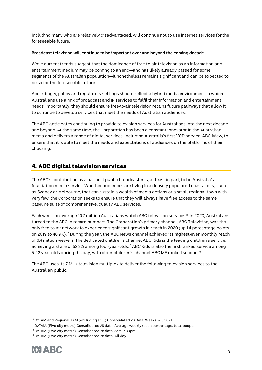including many who are relatively disadvantaged, will continue not to use internet services for the foreseeable future.

#### **Broadcast television will continue to be important over and beyond the coming decade**

While current trends suggest that the dominance of free-to-air television as an information and entertainment medium may be coming to an end—and has likely already passed for some segments of the Australian population—it nonetheless remains significant and can be expected to be so for the foreseeable future.

Accordingly, policy and regulatory settings should reflect a hybrid media environment in which Australians use a mix of broadcast and IP services to fulfil their information and entertainment needs. Importantly, they should ensure free-to-air television retains future pathways that allow it to continue to develop services that meet the needs of Australian audiences.

The ABC anticipates continuing to provide television services for Australians into the next decade and beyond. At the same time, the Corporation has been a constant innovator in the Australian media and delivers a range of digital services, including Australia's first VOD service, ABC iview, to ensure that it is able to meet the needs and expectations of audiences on the platforms of their choosing.

# 4. ABC digital television services

The ABC's contribution as a national public broadcaster is, at least in part, to be Australia's foundation media service. Whether audiences are living in a densely populated coastal city, such as Sydney or Melbourne, that can sustain a wealth of media options or a small regional town with very few, the Corporation seeks to ensure that they will always have free access to the same baseline suite of comprehensive, quality ABC services.

Each week, an average 10.7 million Australians watch ABC television services. <sup>16</sup> In 2020, Australians turned to the ABC in record numbers. The Corporation's primary channel, ABC Television, was the only free-to-air network to experience significant growth in reach in 2020 (up 1.4 percentage points on 2019 to 46.9%).17 During the year, the ABC News channel achieved its highest-ever monthly reach of 6.4 million viewers. The dedicated children's channel ABC Kids is the leading children's service, achieving a share of 52.3% among four-year-olds.<sup>18</sup> ABC Kids is also the first-ranked service among 5–12-year-olds during the day, with older-children's channel ABC ME ranked second. 19

The ABC uses its 7 MHz television multiplex to deliver the following television services to the Australian public:

<sup>&</sup>lt;sup>19</sup> OzTAM. (Five-city metro) Consolidated 28 data, All-day.



<sup>16</sup> OzTAM and Regional TAM (excluding spill) Consolidated 28 Data, Weeks 1–13 2021.

<sup>&</sup>lt;sup>17</sup> OzTAM. (Five-city metro) Consolidated 28 data, Average weekly reach percentage, total people.

<sup>18</sup> OzTAM. (Five-city metro) Consolidated 28 data, 5am–7.30pm.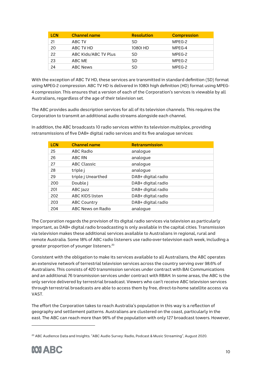| <b>LCN</b> | <b>Channel name</b>  | <b>Resolution</b> | <b>Compression</b> |
|------------|----------------------|-------------------|--------------------|
| 21         | ABC TV               | SD                | MPEG-2             |
| 20         | ABC TV HD            | 1080i HD          | MPEG-4             |
| 22         | ABC Kids/ABC TV Plus | SD                | MPEG-2             |
| 23         | ABC ME               | SD                | MPFG-2             |
| 24         | <b>ABC News</b>      | SD                | MPEG-2             |

With the exception of ABC TV HD, these services are transmitted in standard definition (SD) format using MPEG-2 compression. ABC TV HD is delivered in 1080i high definition (HD) format using MPEG-4 compression. This ensures that a version of each of the Corporation's services is viewable by all Australians, regardless of the age of their television set.

The ABC provides audio description services for all of its television channels. This requires the Corporation to transmit an additional audio streams alongside each channel.

| <b>LCN</b> | <b>Channel name</b> | <b>Retransmission</b> |
|------------|---------------------|-----------------------|
| 25         | <b>ABC Radio</b>    | analogue              |
| 26         | ABC RN              | analogue              |
| 27         | <b>ABC Classic</b>  | analogue              |
| 28         | triple j            | analogue              |
| 29         | triple j Unearthed  | DAB+ digital radio    |
| 200        | Double              | DAB+ digital radio    |
| 201        | ABC Jazz            | DAB+ digital radio    |
| 202        | ABC KIDS listen     | DAB+ digital radio    |
| 203        | <b>ABC Country</b>  | DAB+ digital radio    |
| 204        | ABC News on Radio   | analogue              |

In addition, the ABC broadcasts 10 radio services within its television multiplex, providing retransmissions of five DAB+ digital radio services and its five analogue services:

The Corporation regards the provision of its digital radio services via television as particularly important, as DAB+ digital radio broadcasting is only available in the capital cities. Transmission via television makes these additional services available to Australians in regional, rural and remote Australia. Some 18% of ABC radio listeners use radio-over-television each week, including a greater proportion of younger listeners. 20

Consistent with the obligation to make its services available to all Australians, the ABC operates an extensive network of terrestrial television services across the country serving over 98.6% of Australians. This consists of 420 transmission services under contract with BAI Communications and an additional 76 transmission services under contract with RBAH. In some areas, the ABC is the only service delivered by terrestrial broadcast. Viewers who can't receive ABC television services through terrestrial broadcasts are able to access them by free, direct-to-home satellite access via VAST.

The effort the Corporation takes to reach Australia's population in this way is a reflection of geography and settlement patterns. Australians are clustered on the coast, particularly in the east. The ABC can reach more than 96% of the population with only 127 broadcast towers. However,

<sup>&</sup>lt;sup>20</sup> ABC Audience Data and Insights. "ABC Audio Survey: Radio, Podcast & Music Streaming", August 2020.

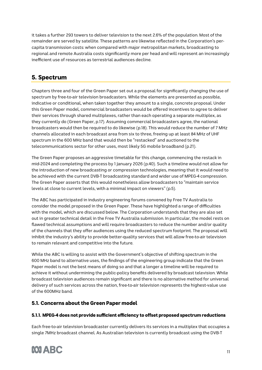it takes a further 293 towers to deliver television to the next 2.6% of the population. Most of the remainder are served by satellite. These patterns are likewise reflected in the Corporation's percapita transmission costs: when compared with major metropolitan markets, broadcasting to regional and remote Australia costs significantly more per head and will represent an increasingly inefficient use of resources as terrestrial audiences decline.

# 5. Spectrum

Chapters three and four of the Green Paper set out a proposal for significantly changing the use of spectrum by free-to-air television broadcasters. While the elements are presented as possible, indicative or conditional, when taken together they amount to a single, concrete proposal. Under this Green Paper model, commercial broadcasters would be offered incentives to agree to deliver their services through shared multiplexes, rather than each operating a separate multiplex, as they currently do (Green Paper, p.17). Assuming commercial broadcasters agree, the national broadcasters would then be required to do likewise (p.18). This would reduce the number of 7 MHz channels allocated in each broadcast area from six to three, freeing up at least 84 MHz of UHF spectrum in the 600 MHz band that would then be "restacked" and auctioned to the telecommunications sector for other uses, most likely 5G mobile broadband (p.21).

The Green Paper proposes an aggressive timetable for this change, commencing the restack in mid-2024 and completing the process by 1 January 2026 (p.40). Such a timeline would not allow for the introduction of new broadcasting or compression technologies, meaning that it would need to be achieved with the current DVB-T broadcasting standard and wider use of MPEG-4 compression. The Green Paper asserts that this would nonetheless allow broadcasters to "maintain service levels at close to current levels, with a minimal impact on viewers" (p.5).

The ABC has participated in industry engineering forums convened by Free TV Australia to consider the model proposed in the Green Paper. These have highlighted a range of difficulties with the model, which are discussed below. The Corporation understands that they are also set out in greater technical detail in the Free TV Australia submission. In particular, the model rests on flawed technical assumptions and will require broadcasters to reduce the number and/or quality of the channels that they offer audiences using the reduced spectrum footprint. The proposal will inhibit the industry's ability to provide better-quality services that will allow free-to-air television to remain relevant and competitive into the future.

While the ABC is willing to assist with the Government's objective of shifting spectrum in the 600 MHz band to alternative uses, the findings of the engineering group indicate that the Green Paper model is not the best means of doing so and that a longer a timeline will be required to achieve it without undermining the public-policy benefits delivered by broadcast television. While broadcast television audiences remain significant and there is no alternative method for universal delivery of such services across the nation, free-to-air television represents the highest-value use of the 600MHz band.

# 5.1. Concerns about the Green Paper model

# 5.1.1. MPEG-4 does not provide sufficient efficiency to offset proposed spectrum reductions

Each free-to-air television broadcaster currently delivers its services in a multiplex that occupies a single 7MHz broadcast channel. As Australian television is currently broadcast using the DVB-T

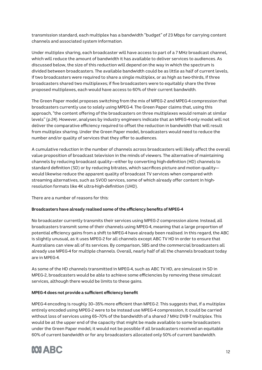transmission standard, each multiplex has a bandwidth "budget" of 23 Mbps for carrying content channels and associated system information.

Under multiplex sharing, each broadcaster will have access to part of a 7 MHz broadcast channel, which will reduce the amount of bandwidth it has available to deliver services to audiences. As discussed below, the size of this reduction will depend on the way in which the spectrum is divided between broadcasters. The available bandwidth could be as little as half of current levels, if two broadcasters were required to share a single multiplex, or as high as two-thirds, if three broadcasters shared two multiplexes; if five broadcasters were to equitably share the three proposed multiplexes, each would have access to 60% of their current bandwidth.

The Green Paper model proposes switching from the mix of MPEG-2 and MPEG-4 compression that broadcasters currently use to solely using MPEG-4. The Green Paper claims that, using this approach, "the content offering of the broadcasters on three multiplexes would remain at similar levels" (p.24). However, analyses by industry engineers indicate that an MPEG-4-only model will not deliver the comparative efficiency required to offset the reduction in bandwidth that will result from multiplex sharing. Under the Green Paper model, broadcasters would need to reduce the number and/or quality of services that they offer to audiences.

A cumulative reduction in the number of channels across broadcasters will likely affect the overall value proposition of broadcast television in the minds of viewers. The alternative of maintaining channels by reducing broadcast quality—either by converting high-definition (HD) channels to standard definition (SD) or by reducing bitrates, which sacrifices picture and motion quality would likewise reduce the apparent quality of broadcast TV services when compared with streaming alternatives, such as SVOD services, some of which already offer content in highresolution formats like 4K ultra-high-definition (UHD).

There are a number of reasons for this:

## **Broadcasters have already realised some of the efficiency benefits of MPEG-4**

No broadcaster currently transmits their services using MPEG-2 compression alone. Instead, all broadcasters transmit some of their channels using MPEG-4, meaning that a large proportion of potential efficiency gains from a shift to MPEG-4 have already been realised. In this regard, the ABC is slightly unusual, as it uses MPEG-2 for all channels except ABC TV HD in order to ensure that Australians can view all of its services. By comparison, SBS and the commercial broadcasters all already use MPEG-4 for multiple channels. Overall, nearly half of all the channels broadcast today are in MPEG-4.

As some of the HD channels transmitted in MPEG-4, such as ABC TV HD, are simulcast in SD in MPEG-2, broadcasters would be able to achieve some efficiencies by removing these simulcast services, although there would be limits to these gains.

#### **MPEG-4 does not provide a sufficient efficiency benefit**

MPEG-4 encoding is roughly 30–35% more efficient than MPEG-2. This suggests that, if a multiplex entirely encoded using MPEG-2 were to be instead use MPEG-4 compression, it could be carried without loss of services using 65–70% of the bandwidth of a shared 7 MHz DVB-T multiplex. This would be at the upper end of the capacity that might be made available to some broadcasters under the Green Paper model; it would not be possible if all broadcasters received an equitable 60% of current bandwidth or for any broadcasters allocated only 50% of current bandwidth.

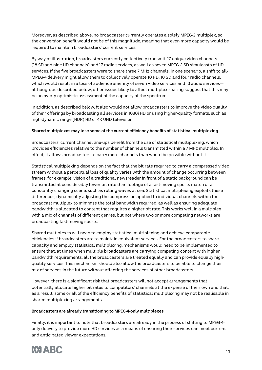Moreover, as described above, no broadcaster currently operates a solely MPEG-2 multiplex, so the conversion benefit would not be of this magnitude, meaning that even more capacity would be required to maintain broadcasters' current services.

By way of illustration, broadcasters currently collectively transmit 27 unique video channels (18 SD and nine HD channels) and 17 radio services, as well as seven MPEG-2 SD simulcasts of HD services. If the five broadcasters were to share three 7 MHz channels, in one scenario, a shift to all-MPEG-4 delivery might allow them to collectively operate 10 HD, 10 SD and four radio channels, which would result in a loss of audience amenity of seven video services and 13 audio services although, as described below, other issues likely to affect multiplex sharing suggest that this may be an overly-optimistic assessment of the capacity of the spectrum.

In addition, as described below, it also would not allow broadcasters to improve the video quality of their offerings by broadcasting all services in 1080i HD or using higher-quality formats, such as high-dynamic range (HDR) HD or 4K UHD television.

#### **Shared multiplexes may lose some of the current efficiency benefits of statistical multiplexing**

Broadcasters' current channel line-ups benefit from the use of statistical multiplexing, which provides efficiencies relative to the number of channels transmitted within a 7 MHz multiplex. In effect, it allows broadcasters to carry more channels than would be possible without it.

Statistical multiplexing depends on the fact that the bit rate required to carry a compressed video stream without a perceptual loss of quality varies with the amount of change occurring between frames; for example, vision of a traditional newsreader in front of a static background can be transmitted at considerably lower bit rate than footage of a fast-moving sports match or a constantly changing scene, such as rolling waves at sea. Statistical multiplexing exploits these differences, dynamically adjusting the compression applied to individual channels within the broadcast multiplex to minimise the total bandwidth required, as well as ensuring adequate bandwidth is allocated to content that requires a higher bit rate. This works well in a multiplex with a mix of channels of different genres, but not where two or more competing networks are broadcasting fast-moving sports.

Shared multiplexes will need to employ statistical multiplexing and achieve comparable efficiencies if broadcasters are to maintain equivalent services. For the broadcasters to share capacity and employ statistical multiplexing, mechanisms would need to be implemented to ensure that, at times when multiple broadcasters are carrying competing content with higher bandwidth requirements, all the broadcasters are treated equally and can provide equally highquality services. This mechanism should also allow the broadcasters to be able to change their mix of services in the future without affecting the services of other broadcasters.

However, there is a significant risk that broadcasters will not accept arrangements that potentially allocate higher bit rates to competitors' channels at the expense of their own and that, as a result, some or all of the efficiency benefits of statistical multiplexing may not be realisable in shared multiplexing arrangements.

#### **Broadcasters are already transitioning to MPEG-4-only multiplexes**

Finally, it is important to note that broadcasters are already in the process of shifting to MPEG-4 only delivery to provide more HD services as a means of ensuring their services can meet current and anticipated viewer expectations.

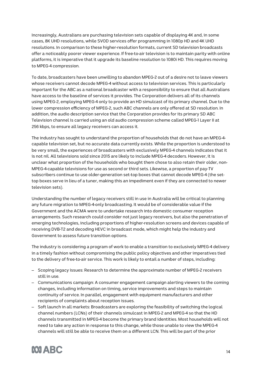Increasingly, Australians are purchasing television sets capable of displaying 4K and, in some cases, 8K UHD resolutions, while SVOD services offer programming in 1080p HD and 4K UHD resolutions. In comparison to these higher-resolution formats, current SD television broadcasts offer a noticeably poorer viewer experience. If free-to-air television is to maintain parity with online platforms, it is imperative that it upgrade its baseline resolution to 1080i HD. This requires moving to MPEG-4 compression.

To date, broadcasters have been unwilling to abandon MPEG-2 out of a desire not to leave viewers whose receivers cannot decode MPEG-4 without access to television services. This is particularly important for the ABC as a national broadcaster with a responsibility to ensure that all Australians have access to the baseline of services it provides. The Corporation delivers all of its channels using MPEG-2, employing MPEG-4 only to provide an HD simulcast of its primary channel. Due to the lower compression efficiency of MPEG-2, such ABC channels are only offered at SD resolution. In addition, the audio description service that the Corporation provides for its primary SD ABC Television channel is carried using an old audio compression scheme called MPEG-1 Layer II at 256 kbps, to ensure all legacy receivers can access it.

The industry has sought to understand the proportion of households that do not have an MPEG-4 capable television set, but no accurate data currently exists. While the proportion is understood to be very small, the experiences of broadcasters with exclusively MPEG-4 channels indicates that it is not nil. All televisions sold since 2015 are likely to include MPEG-4 decoders. However, it is unclear what proportion of the households who bought them chose to also retain their older, non-MPEG-4-capable televisions for use as second or third sets. Likewise, a proportion of pay-TV subscribers continue to use older-generation set-top boxes that cannot decode MPEG-4 (the settop boxes serve in lieu of a tuner, making this an impediment even if they are connected to newer television sets).

Understanding the number of legacy receivers still in use in Australia will be critical to planning any future migration to MPEG-4-only broadcasting. It would be of considerable value if the Government and the ACMA were to undertake research into domestic consumer reception arrangements. Such research could consider not just legacy receivers, but also the penetration of emerging technologies, including proportions of higher-resolution screens and devices capable of receiving DVB-T2 and decoding HEVC in broadcast mode, which might help the industry and Government to assess future transition options.

The industry is considering a program of work to enable a transition to exclusively MPEG-4 delivery in a timely fashion without compromising the public policy objectives and other imperatives tied to the delivery of free-to-air service. This work is likely to entail a number of steps, including:

- Scoping legacy issues: Research to determine the approximate number of MPEG-2 receivers still in use.
- Communications campaign: A consumer engagement campaign alerting viewers to the coming changes, including information on timing, service improvements and steps to maintain continuity of service. In parallel, engagement with equipment manufacturers and other recipients of complaints about reception issues.
- Soft launch in all markets: Broadcasters are exploring the feasibility of switching the logical channel numbers (LCNs) of their channels simulcast in MPEG-2 and MPEG-4 so that the HD channels transmitted in MPEG-4 become the primary brand identities. Most households will not need to take any action in response to this change, while those unable to view the MPEG-4 channels will still be able to receive them on a different LCN. This will be part of the prior

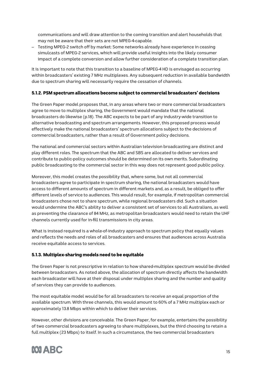communications and will draw attention to the coming transition and alert households that may not be aware that their sets are not MPEG-4-capable.

– Testing MPEG-2 switch off by market: Some networks already have experience in ceasing simulcasts of MPEG-2 services, which will provide useful insights into the likely consumer impact of a complete conversion and allow further consideration of a complete transition plan.

It is important to note that this transition to a baseline of MPEG-4 HD is envisaged as occurring within broadcasters' existing 7 MHz multiplexes. Any subsequent reduction in available bandwidth due to spectrum sharing will necessarily require the cessation of channels.

## 5.1.2. PSM spectrum allocations become subject to commercial broadcasters' decisions

The Green Paper model proposes that, in any areas where two or more commercial broadcasters agree to move to multiplex sharing, the Government would mandate that the national broadcasters do likewise (p.18). The ABC expects to be part of any industry-wide transition to alternative broadcasting and spectrum arrangements. However, this proposed process would effectively make the national broadcasters' spectrum allocations subject to the decisions of commercial broadcasters, rather than a result of Government policy decisions.

The national and commercial sectors within Australian television broadcasting are distinct and play different roles. The spectrum that the ABC and SBS are allocated to deliver services and contribute to public-policy outcomes should be determined on its own merits. Subordinating public broadcasting to the commercial sector in this way does not represent good public policy.

Moreover, this model creates the possibility that, where some, but not all commercial broadcasters agree to participate in spectrum sharing, the national broadcasters would have access to different amounts of spectrum in different markets and, as a result, be obliged to offer different levels of service to audiences. This would result, for example, if metropolitan commercial broadcasters chose not to share spectrum, while regional broadcasters did. Such a situation would undermine the ABC's ability to deliver a consistent set of services to all Australians, as well as preventing the clearance of 84 MHz, as metropolitan broadcasters would need to retain the UHF channels currently used for in-fill transmissions in city areas.

What is instead required is a whole-of-industry approach to spectrum policy that equally values and reflects the needs and roles of all broadcasters and ensures that audiences across Australia receive equitable access to services.

## 5.1.3. Multiplex-sharing models need to be equitable

The Green Paper is not prescriptive in relation to how shared-multiplex spectrum would be divided between broadcasters. As noted above, the allocation of spectrum directly affects the bandwidth each broadcaster will have at their disposal under multiplex sharing and the number and quality of services they can provide to audiences.

The most equitable model would be for all broadcasters to receive an equal proportion of the available spectrum. With three channels, this would amount to 60% of a 7 MHz multiplex each or approximately 13.8 Mbps within which to deliver their services.

However, other divisions are conceivable. The Green Paper, for example, entertains the possibility of two commercial broadcasters agreeing to share multiplexes, but the third choosing to retain a full multiplex (23 Mbps) to itself. In such a circumstance, the two commercial broadcasters

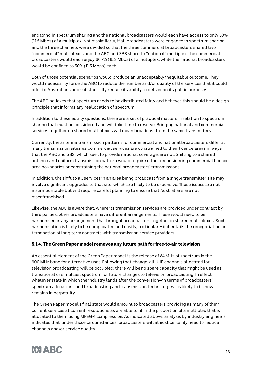engaging in spectrum sharing and the national broadcasters would each have access to only 50% (11.5 Mbps) of a multiplex. Not dissimilarly, if all broadcasters were engaged in spectrum sharing and the three channels were divided so that the three commercial broadcasters shared two "commercial" multiplexes and the ABC and SBS shared a "national" multiplex, the commercial broadcasters would each enjoy 66.7% (15.3 Mbps) of a multiplex, while the national broadcasters would be confined to 50% (11.5 Mbps) each.

Both of those potential scenarios would produce an unacceptably inequitable outcome. They would necessarily force the ABC to reduce the number and/or quality of the services that it could offer to Australians and substantially reduce its ability to deliver on its public purposes.

The ABC believes that spectrum needs to be distributed fairly and believes this should be a design principle that informs any reallocation of spectrum.

In addition to these equity questions, there are a set of practical matters in relation to spectrum sharing that must be considered and will take time to resolve. Bringing national and commercial services together on shared multiplexes will mean broadcast from the same transmitters.

Currently, the antenna transmission patterns for commercial and national broadcasters differ at many transmission sites, as commercial services are constrained to their licence areas in ways that the ABC and SBS, which seek to provide national coverage, are not. Shifting to a shared antenna and uniform transmission pattern would require either reconsidering commercial licencearea boundaries or constraining the national broadcasters' transmissions.

In addition, the shift to all services in an area being broadcast from a single transmitter site may involve significant upgrades to that site, which are likely to be expensive. These issues are not insurmountable but will require careful planning to ensure that Australians are not disenfranchised.

Likewise, the ABC is aware that, where its transmission services are provided under contract by third parties, other broadcasters have different arrangements. These would need to be harmonised in any arrangement that brought broadcasters together in shared multiplexes. Such harmonisation is likely to be complicated and costly, particularly if it entails the renegotiation or termination of long-term contracts with transmission-service providers.

## 5.1.4. The Green Paper model removes any future path for free-to-air television

An essential element of the Green Paper model is the release of 84 MHz of spectrum in the 600 MHz band for alternative uses. Following that change, all UHF channels allocated for television broadcasting will be occupied; there will be no spare capacity that might be used as transitional or simulcast spectrum for future changes to television broadcasting. In effect, whatever state in which the industry lands after the conversion—in terms of broadcasters' spectrum allocations and broadcasting and transmission technologies—is likely to be how it remains in perpetuity.

The Green Paper model's final state would amount to broadcasters providing as many of their current services at current resolutions as are able to fit in the proportion of a multiplex that is allocated to them using MPEG-4 compression. As indicated above, analysis by industry engineers indicates that, under those circumstances, broadcasters will almost certainly need to reduce channels and/or service quality.

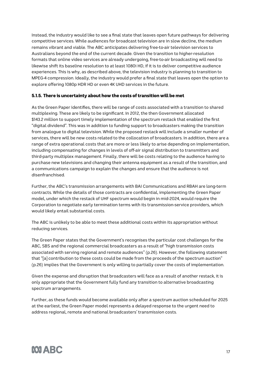Instead, the industry would like to see a final state that leaves open future pathways for delivering competitive services. While audiences for broadcast television are in slow decline, the medium remains vibrant and viable. The ABC anticipates delivering free-to-air television services to Australians beyond the end of the current decade. Given the transition to higher-resolution formats that online video services are already undergoing, free-to-air broadcasting will need to likewise shift its baseline resolution to at least 1080i HD, if it is to deliver competitive audience experiences. This is why, as described above, the television industry is planning to transition to MPEG-4 compression. Ideally, the industry would prefer a final state that leaves open the option to explore offering 1080p HDR HD or even 4K UHD services in the future.

## 5.1.5. There is uncertainty about how the costs of transition will be met

As the Green Paper identifies, there will be range of costs associated with a transition to shared multiplexing. These are likely to be significant. In 2012, the then Government allocated \$143.2 million to support timely implementation of the spectrum restack that enabled the first "digital dividend". This was in addition to funding support to broadcasters making the transition from analogue to digital television. While the proposed restack will include a smaller number of services, there will be new costs related to the collocation of broadcasters. In addition, there are a range of extra operational costs that are more or less likely to arise depending on implementation, including compensating for changes in levels of off-air signal distribution to transmitters and third-party multiplex management. Finally, there will be costs relating to the audience having to purchase new televisions and changing their antenna equipment as a result of the transition, and a communications campaign to explain the changes and ensure that the audience is not disenfranchised.

Further, the ABC's transmission arrangements with BAI Communications and RBAH are long-term contracts. While the details of those contracts are confidential, implementing the Green Paper model, under which the restack of UHF spectrum would begin in mid-2024, would require the Corporation to negotiate early termination terms with its transmission-service providers, which would likely entail substantial costs.

The ABC is unlikely to be able to meet these additional costs within its appropriation without reducing services.

The Green Paper states that the Government's recognises the particular cost challenges for the ABC, SBS and the regional commercial broadcasters as a result of "high transmission costs associated with serving regional and remote audiences" (p.26). However, the following statement that "[a] contribution to these costs could be made from the proceeds of the spectrum auction" (p.26) implies that the Government is only willing to partially cover the costs of implementation.

Given the expense and disruption that broadcasters will face as a result of another restack, it is only appropriate that the Government fully fund any transition to alternative broadcasting spectrum arrangements.

Further, as these funds would become available only after a spectrum auction scheduled for 2025 at the earliest, the Green Paper model represents a delayed response to the urgent need to address regional, remote and national broadcasters' transmission costs.

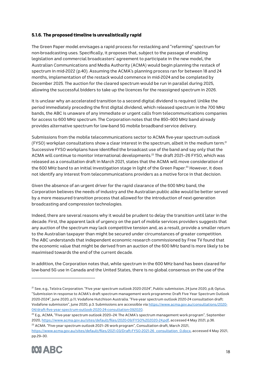## 5.1.6. The proposed timeline is unrealistically rapid

The Green Paper model envisages a rapid process for restacking and "refarming" spectrum for non-broadcasting uses. Specifically, it proposes that, subject to the passage of enabling legislation and commercial broadcasters' agreement to participate in the new model, the Australian Communications and Media Authority (ACMA) would begin planning the restack of spectrum in mid-2022 (p.40). Assuming the ACMA's planning process ran for between 18 and 24 months, implementation of the restack would commence in mid-2024 and be completed by December 2025. The auction for the cleared spectrum would be run in parallel during 2025, allowing the successful bidders to take up the licences for the reassigned spectrum in 2026.

It is unclear why an accelerated transition to a second digital dividend is required. Unlike the period immediately preceding the first digital dividend, which released spectrum in the 700 MHz bands, the ABC is unaware of any immediate or urgent calls from telecommunications companies for access to 600 MHz spectrum. The Corporation notes that the 850–900 MHz band already provides alternative spectrum for low-band 5G mobile broadband service delivery.

Submissions from the mobile telecommunications sector to ACMA five-year spectrum outlook (FYSO) workplan consultations show a clear interest in the spectrum, albeit in the medium term. $^{21}$ Successive FYSO workplans have identified the broadcast use of the band and say only that the ACMA will continue to monitor international developments.22 The draft 2021–26 FYSO, which was released as a consultation draft in March 2021, states that the ACMA will move consideration of the 600 MHz band to an initial investigation stage in light of the Green Paper.<sup>23</sup> However, it does not identify any interest from telecommunications providers as a motive force in that decision.

Given the absence of an urgent driver for the rapid clearance of the 600 MHz band, the Corporation believes the needs of industry and the Australian public alike would be better served by a more measured transition process that allowed for the introduction of next-generation broadcasting and compression technologies.

Indeed, there are several reasons why it would be prudent to delay the transition until later in the decade. First, the apparent lack of urgency on the part of mobile services providers suggests that any auction of the spectrum may lack competitive tension and, as a result, provide a smaller return to the Australian taxpayer than might be secured under circumstances of greater competition. The ABC understands that independent economic research commissioned by Free TV found that the economic value that might be derived from an auction of the 600 MHz band is more likely to be maximised towards the end of the current decade.

In addition, the Corporation notes that, while spectrum in the 600 MHz band has been cleared for low-band 5G use in Canada and the United States, there is no global consensus on the use of the

https://www.acma.gov.au/sites/default/files/2021-03/Draft-FYSO-2021-26\_consultation\_0.docx, accessed 4 May 2021, pp.29–30.



 $21$  See, e.g., Telstra Corporation. "Five year spectrum outlook 2020-2024", Public submission, 24 June 2020, p.8; Optus. "Submission in response to ACMA's draft spectrum management work programme: Draft Five Year Spectrum Outlook 2020-2024", June 2020, p.11; Vodafone Hutchison Australia. "Five-year spectrum outlook 2020-24 consultation draft: Vodafone submission", June 2020, p.3. Submissions are accessible via https://www.acma.gov.au/consultations/2020- 04/draft-five-year-spectrum-outlook-2020-24-consultation-092020.

<sup>&</sup>lt;sup>22</sup> E.g., ACMA, "Five-year spectrum outlook 2020–24: The ACMA's spectrum management work program", September 2020, https://www.acma.gov.au/sites/default/files/2020-09/FYSO%202020-24.pdf, accessed 4 May 2021, p.36. <sup>23</sup> ACMA. "Five-year spectrum outlook 2021–26 work program", Consultation draft, March 2021,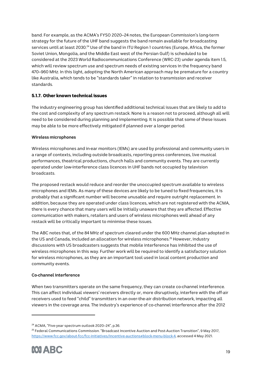band. For example, as the ACMA's FYSO 2020–24 notes, the European Commission's long-term strategy for the future of the UHF band suggests the band remain available for broadcasting services until at least 2030.<sup>24</sup> Use of the band in ITU Region 1 countries (Europe, Africa, the former Soviet Union, Mongolia, and the Middle East west of the Persian Gulf) is scheduled to be considered at the 2023 World Radiocommunications Conference (WRC-23) under agenda item 1.5, which will review spectrum use and spectrum needs of existing services in the frequency band 470–960 MHz. In this light, adopting the North American approach may be premature for a country like Australia, which tends to be "standards taker" in relation to transmission and receiver standards.

## 5.1.7. Other known technical issues

The industry engineering group has identified additional technical issues that are likely to add to the cost and complexity of any spectrum restack. None is a reason not to proceed, although all will need to be considered during planning and implementing. It is possible that some of these issues may be able to be more effectively mitigated if planned over a longer period.

## **Wireless microphones**

Wireless microphones and in-ear monitors (IEMs) are used by professional and community users in a range of contexts, including outside broadcasts, reporting press conferences, live musical performances, theatrical productions, church halls and community events. They are currently operated under low-interference class licences in UHF bands not occupied by television broadcasts.

The proposed restack would reduce and reorder the unoccupied spectrum available to wireless microphones and IEMs. As many of these devices are likely to be tuned to fixed frequencies, it is probably that a significant number will become unusable and require outright replacement. In addition, because they are operated under class licences, which are not registered with the ACMA, there is every chance that many users will be initially unaware that they are affected. Effective communication with makers, retailers and users of wireless microphones well ahead of any restack will be critically important to minimise these issues.

The ABC notes that, of the 84 MHz of spectrum cleared under the 600 MHz channel plan adopted in the US and Canada, included an allocation for wireless microphones. <sup>25</sup> However, industry discussions with US broadcasters suggests that mobile interference has inhibited the use of wireless microphones in this way. Further work will be required to identify a satisfactory solution for wireless microphones, as they are an important tool used in local content production and community events.

## **Co-channel interference**

When two transmitters operate on the same frequency, they can create co-channel interference. This can affect individual viewers' receivers directly or, more disruptively, interfere with the off-air receivers used to feed "child" transmitters in an over-the-air distribution network, impacting all viewers in the coverage area. The industry's experience of co-channel interference after the 2012

<sup>25</sup> Federal Communications Commission. "Broadcast Incentive Auction and Post-Auction Transition", 9 May 2017, https://www.fcc.gov/about-fcc/fcc-initiatives/incentive-auctions#block-menu-block-4, accessed 4 May 2021.



<sup>24</sup> ACMA, "Five-year spectrum outlook 2020–24", p.36.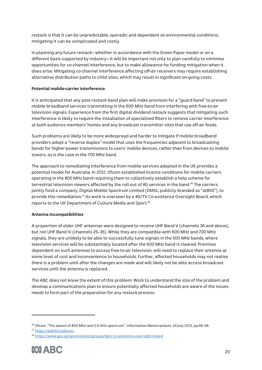restack is that it can be unpredictable, sporadic and dependent on environmental conditions; mitigating it can be complicated and costly.

In planning any future restack—whether in accordance with the Green Paper model or on a different basis supported by industry—it will be important not only to plan carefully to minimise opportunities for co-channel interference, but to make allowance for funding mitigation when it does arise. Mitigating co-channel interference affecting off-air receivers may require establishing alternative distribution paths to child sites, which may result in significant on-going costs.

#### **Potential mobile-carrier interference**

It is anticipated that any post-restack band plan will make provision for a "guard band" to prevent mobile broadband services transmitting in the 600 MHz band from interfering with free-to-air television signals. Experience from the first digital dividend restack suggests that mitigating such interference is likely to require the installation of specialised filters to remove carrier interference at both audience members' homes and any broadcast transmitter sites that use off-air feeds.

Such problems are likely to be more widespread and harder to mitigate if mobile broadband providers adopt a "reverse duplex" model that uses the frequencies adjacent to broadcasting bands for higher-power transmissions to users' mobile devices, rather than from devices to mobile towers, as is the case in the 700 MHz band.

The approach to remediating interference from mobile services adopted in the UK provides a potential model for Australia. In 2012, Ofcom established licence conditions for mobile carriers operating in the 800 MHz band requiring them to collectively establish a help scheme for terrestrial television viewers affected by the roll-out of 4G services in the band.<sup>26</sup> The carriers jointly fund a company, Digital Mobile Spectrum Limited (DMSL; publicly branded as "at800"), to provide this remediation.27 Its work is overseen by a 4G/TV Co-existence Oversight Board, which reports to the UK Department of Culture Media and Sport.28

## **Antenna incompatibilities**

A proportion of older UHF antennas were designed to receive UHF Band V (channels 36 and above), but not UHF Band IV (channels 25–35). While they are compatible with 600 MHz and 700 MHz signals, they are unlikely to be able to successfully tune signals in the 500 MHz bands, where television services will be substantially located after the 600 MHz band is cleared. Premises dependent on such antennas to access free-to-air television, will need to replace their antenna at some level of cost and inconvenience to households. Further, affected households may not realise there is a problem until after the changes are made and will likely not be able access broadcast services until the antenna is replaced.

The ABC does not know the extent of this problem. Work to understand the size of the problem and develop a communications plan to ensure potentially affected households are aware of the issues needs to form part of the preparation for any restack process.

<sup>28</sup> https://www.gov.uk/government/groups/4gtv-co-existence-oversight-board



<sup>&</sup>lt;sup>26</sup> Ofcom. "The award of 800 MHz and 2.6 GHz spectrum", Information Memorandum, 24 July 2012, pp.49–58.

<sup>27</sup> https://at800.tv/about/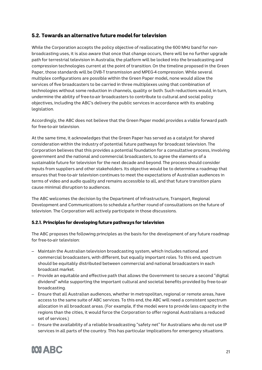# 5.2. Towards an alternative future model for television

While the Corporation accepts the policy objective of reallocating the 600 MHz band for nonbroadcasting uses, it is also aware that once that change occurs, there will be no further upgrade path for terrestrial television in Australia; the platform will be locked into the broadcasting and compression technologies current at the point of transition. On the timeline proposed in the Green Paper, those standards will be DVB-T transmission and MPEG-4 compression. While several multiplex configurations are possible within the Green Paper model, none would allow the services of five broadcasters to be carried in three multiplexes using that combination of technologies without some reduction in channels, quality or both. Such reductions would, in turn, undermine the ability of free-to-air broadcasters to contribute to cultural and social policy objectives, including the ABC's delivery the public services in accordance with its enabling legislation.

Accordingly, the ABC does not believe that the Green Paper model provides a viable forward path for free-to-air television.

At the same time, it acknowledges that the Green Paper has served as a catalyst for shared consideration within the industry of potential future pathways for broadcast television. The Corporation believes that this provides a potential foundation for a consultative process, involving government and the national and commercial broadcasters, to agree the elements of a sustainable future for television for the next decade and beyond. The process should consider inputs from suppliers and other stakeholders. Its objective would be to determine a roadmap that ensures that free-to-air television continues to meet the expectations of Australian audiences in terms of video and audio quality and remains accessible to all, and that future transition plans cause minimal disruption to audiences.

The ABC welcomes the decision by the Department of Infrastructure, Transport, Regional Development and Communications to schedule a further round of consultations on the future of television. The Corporation will actively participate in those discussions.

## 5.2.1. Principles for developing future pathways for television

The ABC proposes the following principles as the basis for the development of any future roadmap for free-to-air television:

- Maintain the Australian television broadcasting system, which includes national and commercial broadcasters, with different, but equally important roles. To this end, spectrum should be equitably distributed between commercial and national broadcasters in each broadcast market.
- Provide an equitable and effective path that allows the Government to secure a second "digital dividend" while supporting the important cultural and societal benefits provided by free-to-air broadcasting.
- Ensure that all Australian audiences, whether in metropolitan, regional or remote areas, have access to the same suite of ABC services. To this end, the ABC will need a consistent spectrum allocation in all broadcast areas. (For example, if the model were to provide less capacity in the regions than the cities, it would force the Corporation to offer regional Australians a reduced set of services.)
- Ensure the availability of a reliable broadcasting "safety net" for Australians who do not use IP services in all parts of the country. This has particular implications for emergency situations.

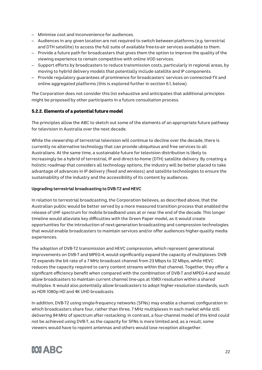- Minimise cost and inconvenience for audiences.
- Audiences in any given location are not required to switch between platforms (e.g. terrestrial and DTH satellite) to access the full suite of available free-to-air services available to them.
- Provide a future path for broadcasters that gives them the option to improve the quality of the viewing experience to remain competitive with online VOD services.
- Support efforts by broadcasters to reduce transmission costs, particularly in regional areas, by moving to hybrid delivery models that potentially include satellite and IP components.
- Provide regulatory guarantees of prominence for broadcasters' services on connected-TV and online aggregated platforms (this is explored further in section 6.1, below).

The Corporation does not consider this list exhaustive and anticipates that additional principles might be proposed by other participants in a future consultation process.

## 5.2.2. Elements of a potential future model

The principles allow the ABC to sketch out some of the elements of an appropriate future pathway for television in Australia over the next decade.

While the viewership of terrestrial television will continue to decline over the decade, there is currently no alternative technology that can provide ubiquitous and free services to all Australians. At the same time, a sustainable future for television distribution is likely to increasingly be a hybrid of terrestrial, IP and direct-to-home (DTH) satellite delivery. By creating a holistic roadmap that considers all technology options, the industry will be better placed to take advantage of advances in IP delivery (fixed and wireless) and satellite technologies to ensure the sustainability of the industry and the accessibility of its content by audiences.

## **Upgrading terrestrial broadcasting to DVB-T2 and HEVC**

In relation to terrestrial broadcasting, the Corporation believes, as described above, that the Australian public would be better served by a more measured transition process that enabled the release of UHF spectrum for mobile broadband uses at or near the end of the decade. This longer timeline would alleviate key difficulties with the Green Paper model, as it would create opportunities for the introduction of next-generation broadcasting and compression technologies that would enable broadcasters to maintain services and/or offer audiences higher-quality media experiences.

The adoption of DVB-T2 transmission and HEVC compression, which represent generational improvements on DVB-T and MPEG-4, would significantly expand the capacity of multiplexes. DVB-T2 expands the bit rate of a 7 MHz broadcast channel from 23 Mbps to 32 Mbps, while HEVC reduces the capacity required to carry content streams within that channel. Together, they offer a significant efficiency benefit when compared with the combination of DVB-T and MPEG-4 and would allow broadcasters to maintain current channel line-ups at 1080i resolution within a shared multiplex. It would also potentially allow broadcasters to adopt higher-resolution standards, such as HDR 1080p HD and 4K UHD broadcasts.

In addition, DVB-T2 using single-frequency networks (SFNs) may enable a channel configuration in which broadcasters share four, rather than three, 7 MHz multiplexes in each market while still delivering 84 MHz of spectrum after restacking. In contrast, a four-channel model of this kind could not be achieved using DVB-T, as the capacity for SFNs is more limited and, as a result, some viewers would have to repoint antennas and others would lose reception altogether.

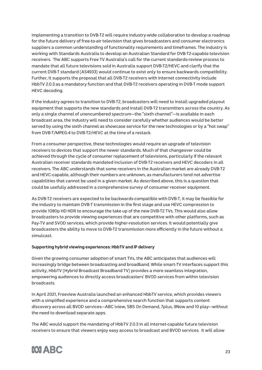Implementing a transition to DVB-T2 will require industry-wide collaboration to develop a roadmap for the future delivery of free-to-air television that gives broadcasters and consumer electronics suppliers a common understanding of functionality requirements and timeframes. The industry is working with Standards Australia to develop an Australian Standard for DVB-T2-capable television receivers. The ABC supports Free TV Australia's call for the current standards-review process to mandate that all future televisions sold in Australia support DVB-T2/HEVC and clarify that the current DVB-T standard (AS4933) would continue to exist only to ensure backwards compatibility. Further, it supports the proposal that all DVB-T2 receivers with internet connectivity include HbbTV 2.0.3 as a mandatory function and that DVB-T2 receivers operating in DVB-T mode support HEVC decoding.

If the industry agrees to transition to DVB-T2, broadcasters will need to install upgraded playout equipment that supports the new standards and install DVB-T2 transmitters across the country. As only a single channel of unencumbered spectrum—the "sixth channel"—is available in each broadcast area, the industry will need to consider carefully whether audiences would be better served by using the sixth channel as showcase service for the new technologies or by a "hot swap" from DVB-T/MPEG-4 to DVB-T2/HEVC at the time of a restack.

From a consumer perspective, these technologies would require an upgrade of television receivers to devices that support the newer standards. Much of that changeover could be achieved through the cycle of consumer replacement of televisions, particularly if the relevant Australian receiver standards mandated inclusion of DVB-T2 receivers and HEVC decoders in all receivers. The ABC understands that some receivers in the Australian market are already DVB-T2 and HEVC-capable, although their numbers are unknown, as manufacturers tend not advertise capabilities that cannot be used in a given market. As described above, this is a question that could be usefully addressed in a comprehensive survey of consumer receiver equipment.

As DVB-T2 receivers are expected to be backwards-compatible with DVB-T, it may be feasible for the industry to maintain DVB-T transmission in the first stage and use HEVC compression to provide 1080p HD HDR to encourage the take up of the new DVB-T2 TVs. This would also allow broadcasters to provide viewing experiences that are competitive with other platforms, such as Pay-TV and SVOD services, which provide higher-resolution services. It would potentially give broadcasters the ability to move to DVB-T2 transmission more efficiently in the future without a simulcast.

## **Supporting hybrid viewing experiences: HbbTV and IP delivery**

Given the growing consumer adoption of smart TVs, the ABC anticipates that audiences will increasingly bridge between broadcasting and broadband. While smart-TV interfaces support this activity, HbbTV (Hybrid Broadcast Broadband TV) provides a more seamless integration, empowering audiences to directly access broadcasters' BVOD services from within television broadcasts.

In April 2021, Freeview Australia launched an enhanced HbbTV service, which provides viewers with a simplified experience and a comprehensive search function that supports content discovery across all BVOD services—ABC iview, SBS On Demand, 7plus, 9Now and 10 play—without the need to download separate apps.

The ABC would support the mandating of HbbTV 2.0.3 in all internet-capable future television receivers to ensure that viewers enjoy easy access to broadcast and BVOD services. It will allow

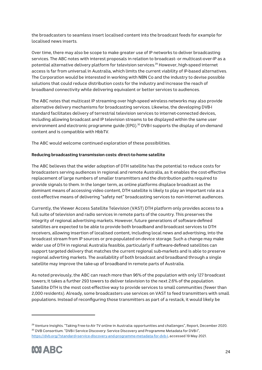the broadcasters to seamless insert localised content into the broadcast feeds for example for localised news inserts.

Over time, there may also be scope to make greater use of IP networks to deliver broadcasting services. The ABC notes with interest proposals in relation to broadcast- or multicast-over-IP as a potential alternative delivery platform for television services.<sup>29</sup> However, high-speed internet access is far from universal in Australia, which limits the current viability of IP-based alternatives. The Corporation would be interested in working with NBN Co and the industry to devise possible solutions that could reduce distribution costs for the industry and increase the reach of broadband connectivity while delivering equivalent or better services to audiences.

The ABC notes that multicast IP streaming over high-speed wireless networks may also provide alternative delivery mechanisms for broadcasting services. Likewise, the developing DVB-I standard facilitates delivery of terrestrial television services to internet-connected devices, including allowing broadcast and IP television streams to be displayed within the same user environment and electronic programme guide (EPG). <sup>30</sup> DVB-I supports the display of on-demand content and is compatible with HbbTV.

The ABC would welcome continued exploration of these possibilities.

#### **Reducing broadcasting transmission costs: direct-to-home satellite**

The ABC believes that the wider adoption of DTH satellite has the potential to reduce costs for broadcasters serving audiences in regional and remote Australia, as it enables the cost-effective replacement of large numbers of smaller transmitters and the distribution paths required to provide signals to them. In the longer term, as online platforms displace broadcast as the dominant means of accessing video content, DTH satellite is likely to play an important role as a cost-effective means of delivering "safety net" broadcasting services to non-internet audiences.

Currently, the Viewer Access Satellite Television (VAST) DTH platform only provides access to a full suite of television and radio services in remote parts of the country. This preserves the integrity of regional advertising markets. However, future generations of software-defined satellites are expected to be able to provide both broadband and broadcast services to DTH receivers, allowing insertion of localised content, including local news and advertising, into the broadcast stream from IP sources or pre-populated on-device storage. Such a change may make wider use of DTH in regional Australia feasible, particularly if software-defined satellites can support targeted delivery that matches the current regional sub-markets and is able to preserve regional adverting markets. The availability of both broadcast and broadband through a single satellite may improve the take-up of broadband in remote parts of Australia.

As noted previously, the ABC can reach more than 96% of the population with only 127 broadcast towers; it takes a further 293 towers to deliver television to the next 2.6% of the population. Satellite DTH is the most cost-effective way to provide services to small communities (fewer than 2,000 residents). Already, some broadcasters use services on VAST to feed transmitters with small populations. Instead of reconfiguring those transmitters as part of a restack, it would likely be

<sup>&</sup>lt;sup>29</sup> Venture Insights. "Taking Free-to-Air TV online in Australia: opportunities and challenges", Report, December 2020. <sup>30</sup> DVB Consortium. "DVB-I Service Discovery: Service Discovery and Programme Metadata for DVB-I", https://dvb.org/?standard=service-discovery-and-programme-metadata-for-dvb-i, accessed 19 May 2021.

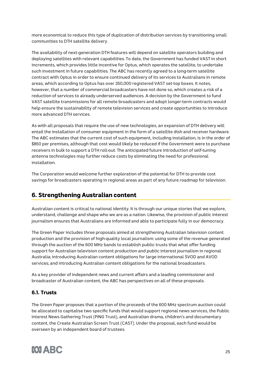more economical to reduce this type of duplication of distribution services by transitioning small communities to DTH satellite delivery.

The availability of next-generation DTH features will depend on satellite operators building and deploying satellites with relevant capabilities. To date, the Government has funded VAST in short increments, which provides little incentive for Optus, which operates the satellite, to undertake such investment in future capabilities. The ABC has recently agreed to a long-term satellite contract with Optus in order to ensure continued delivery of its services to Australians in remote areas, which according to Optus has over 350,000 registered VAST set-top boxes. It notes, however, that a number of commercial broadcasters have not done so, which creates a risk of a reduction of services to already underserved audiences. A decision by the Government to fund VAST satellite transmissions for all remote broadcasters and adopt longer-term contracts would help ensure the sustainability of remote television services and create opportunities to introduce more advanced DTH services.

As with all proposals that require the use of new technologies, an expansion of DTH delivery will entail the installation of consumer equipment in the form of a satellite dish and receiver hardware. The ABC estimates that the current cost of such equipment, including installation, is in the order of \$850 per premises, although that cost would likely be reduced if the Government were to purchase receivers in bulk to support a DTH roll-out. The anticipated future introduction of self-tuning antenna technologies may further reduce costs by eliminating the need for professional installation.

The Corporation would welcome further exploration of the potential for DTH to provide cost savings for broadcasters operating in regional areas as part of any future roadmap for television.

# 6. Strengthening Australian content

Australian content is critical to national identity. It is through our unique stories that we explore, understand, challenge and shape who we are as a nation. Likewise, the provision of public interest journalism ensures that Australians are informed and able to participate fully in our democracy.

The Green Paper includes three proposals aimed at strengthening Australian television content production and the provision of high-quality local journalism: using some of the revenue generated through the auction of the 600 MHz bands to establish public trusts that what offer funding support for Australian television content production and public interest journalism in regional Australia; introducing Australian content obligations for large international SVOD and AVOD services; and introducing Australian content obligations for the national broadcasters.

As a key provider of independent news and current affairs and a leading commissioner and broadcaster of Australian content, the ABC has perspectives on all of these proposals.

# 6.1. Trusts

The Green Paper proposes that a portion of the proceeds of the 600 MHz spectrum auction could be allocated to capitalise two specific funds that would support regional news services, the Public Interest News Gathering Trust (PING Trust), and Australian drama, children's and documentary content, the Create Australian Screen Trust (CAST). Under the proposal, each fund would be overseen by an independent board of trustees.

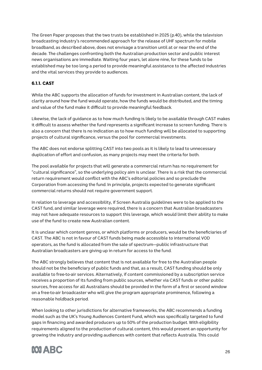The Green Paper proposes that the two trusts be established in 2025 (p.40), while the television broadcasting industry's recommended approach for the release of UHF spectrum for mobile broadband, as described above, does not envisage a transition until at or near the end of the decade. The challenges confronting both the Australian production sector and public interest news organisations are immediate. Waiting four years, let alone nine, for these funds to be established may be too long a period to provide meaningful assistance to the affected industries and the vital services they provide to audiences.

# 6.1.1. CAST

While the ABC supports the allocation of funds for investment in Australian content, the lack of clarity around how the fund would operate, how the funds would be distributed, and the timing and value of the fund make it difficult to provide meaningful feedback.

Likewise, the lack of guidance as to how much funding is likely to be available through CAST makes it difficult to assess whether the fund represents a significant increase to screen funding. There is also a concern that there is no indication as to how much funding will be allocated to supporting projects of cultural significance, versus the pool for commercial investments.

The ABC does not endorse splitting CAST into two pools as it is likely to lead to unnecessary duplication of effort and confusion, as many projects may meet the criteria for both.

The pool available for projects that will generate a commercial return has no requirement for "cultural significance", so the underlying policy aim is unclear. There is a risk that the commercial return requirement would conflict with the ABC's editorial policies and so preclude the Corporation from accessing the fund. In principle, projects expected to generate significant commercial returns should not require government support.

In relation to leverage and accessibility, if Screen Australia guidelines were to be applied to the CAST fund, and similar leverage were required, there is a concern that Australian broadcasters may not have adequate resources to support this leverage, which would limit their ability to make use of the fund to create new Australian content.

It is unclear which content genres, or which platforms or producers, would be the beneficiaries of CAST. The ABC is not in favour of CAST funds being made accessible to international VOD operators, as the fund is allocated from the sale of spectrum—public infrastructure that Australian broadcasters are giving up in return for access to the fund.

The ABC strongly believes that content that is not available for free to the Australian people should not be the beneficiary of public funds and that, as a result, CAST funding should be only available to free-to-air services. Alternatively, if content commissioned by a subscription service receives a proportion of its funding from public sources, whether via CAST funds or other public sources, free access for all Australians should be provided in the form of a first or second window on a free-to-air broadcaster who will give the program appropriate prominence, following a reasonable holdback period.

When looking to other jurisdictions for alternative frameworks, the ABC recommends a funding model such as the UK's Young Audiences Content Fund, which was specifically targeted to fund gaps in financing and awarded producers up to 50% of the production budget. With eligibility requirements aligned to the production of cultural content, this would present an opportunity for growing the industry and providing audiences with content that reflects Australia. This could

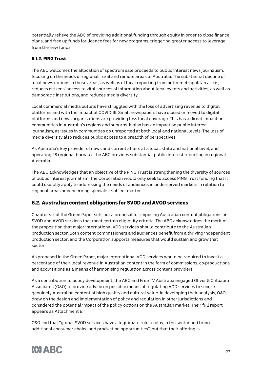potentially relieve the ABC of providing additional funding through equity in order to close finance plans, and free up funds for licence fees for new programs, triggering greater access to leverage from the new funds.

## 6.1.2. PING Trust

The ABC welcomes the allocation of spectrum sale proceeds to public interest news journalism, focusing on the needs of regional, rural and remote areas of Australia. The substantial decline of local news options in those areas, as well as of local reporting from outer-metropolitan areas, reduces citizens' access to vital sources of information about local events and activities, as well as democratic institutions, and reduces media diversity.

Local commercial media outlets have struggled with the loss of advertising revenue to digital platforms and with the impact of COVID-19. Small newspapers have closed or moved to digital platforms and news organisations are providing less local coverage. This has a direct impact on communities in Australia's regions and suburbs. It also has an impact on public interest journalism, as issues in communities go unreported at both local and national levels. The loss of media diversity also reduces public access to a breadth of perspectives.

As Australia's key provider of news and current affairs at a local, state and national level, and operating 48 regional bureaux, the ABC provides substantial public interest reporting in regional Australia.

The ABC acknowledges that an objective of the PING Trust is strengthening the diversity of sources of public interest journalism. The Corporation would only seek to access PING Trust funding that it could usefully apply to addressing the needs of audiences in underserved markets in relation to regional areas or concerning specialist subject matter.

# 6.2. Australian content obligations for SVOD and AVOD services

Chapter six of the Green Paper sets out a proposal for imposing Australian content obligations on SVOD and AVOD services that meet certain eligibility criteria. The ABC acknowledges the merit of the proposition that major international VOD services should contribute to the Australian production sector. Both content commissioners and audiences benefit from a thriving independent production sector, and the Corporation supports measures that would sustain and grow that sector.

As proposed in the Green Paper, major international VOD services would be required to invest a percentage of their local revenue in Australian content in the form of commissions, co-productions and acquisitions as a means of harmonising regulation across content providers.

As a contribution to policy development, the ABC and Free TV Australia engaged Oliver & Ohlbaum Associates (O&O) to provide advice on possible means of regulating VOD services to secure genuinely Australian content of high quality and cultural value. In developing their analysis, O&O drew on the design and implementation of policy and regulation in other jurisdictions and considered the potential impact of the policy options on the Australian market. Their full report appears as Attachment B.

O&O find that "global SVOD services have a legitimate role to play in the sector and bring additional consumer choice and production opportunities", but that their offering is

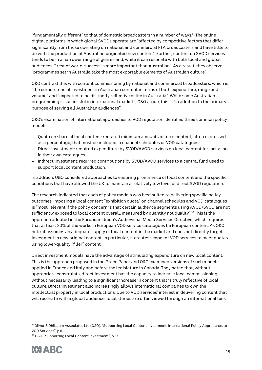"fundamentally different" to that of domestic broadcasters in a number of ways.<sup>31</sup> The online digital platforms in which global SVODs operate are "affected by competitive factors that differ significantly from those operating on national and commercial FTA broadcasters and have little to do with the production of Australian-originated new content". Further, content on SVOD services tends to be in a narrower range of genres and, while it can resonate with both local and global audiences, "'rest of world' success is more important than Australian". As a result, they observe, "programmes set in Australia take the most exportable elements of Australian culture".

O&O contrast this with content commissioning by national and commercial broadcasters, which is "the cornerstone of investment in Australian content in terms of both expenditure, range and volume" and "expected to be distinctly reflective of life in Australia". While some Australian programming is successful in international markets, O&O argue, this is "in addition to the primary purpose of serving all Australian audiences".

O&O's examination of international approaches to VOD regulation identified three common policy models:

- Quota on share of local content: required minimum amounts of local content, often expressed as a percentage, that must be included in channel schedules or VOD catalogues.
- Direct investment: required expenditure by SVOD/AVOD services on local content for inclusion in their own catalogues.
- Indirect investment: required contributions by SVOD/AVOD services to a central fund used to support local content production.

In addition, O&O considered approaches to ensuring prominence of local content and the specific conditions that have allowed the UK to maintain a relatively low level of direct SVOD regulation.

The research indicated that each of policy models was best suited to delivering specific policy outcomes. Imposing a local content "exhibition quota" on channel schedules and VOD catalogues is "most relevant if the policy concern is that certain audience segments using AVOD/SVOD are not sufficiently exposed to local content overall, measured by quantity not quality". <sup>32</sup> This is the approach adopted in the European Union's Audiovisual Media Services Directive, which requires that at least 30% of the works in European VOD-service catalogues be European content. As O&O note, it assumes an adequate supply of local content in the market and does not directly target investment in new original content. In particular, it creates scope for VOD services to meet quotas using lower-quality "filler" content.

Direct investment models have the advantage of stimulating expenditure on new local content. This is the approach proposed in the Green Paper and O&O examined versions of such models applied in France and Italy and before the legislature in Canada. They noted that, without appropriate constraints, direct investment has the capacity to increase local commissioning without necessarily leading to a significant increase in content that is truly reflective of local culture. Direct investment also increasingly allows international companies to own the intellectual property in local productions. Due to VOD services' interest in delivering content that will resonate with a global audience, local stories are often viewed through an international lens

<sup>32</sup> O&O. "Supporting Local Content Investment", p.57.



<sup>31</sup> Oliver & Ohlbaum Associates Ltd (O&O). "Supporting Local Content Investment: International Policy Approaches to VOD Services", p.6.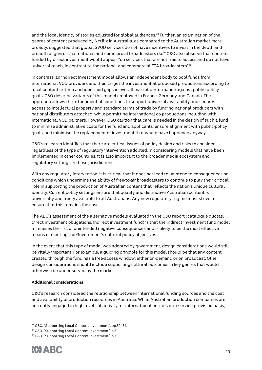and the local identity of stories adjusted for global audiences.<sup>33</sup> Further, an examination of the genres of content produced by Netflix in Australia, as compared to the Australian market more broadly, suggested that global SVOD services do not have incentives to invest in the depth and breadth of genres that national and commercial broadcasters do.34 O&O also observe that content funded by direct investment would appear "on services that are not free to access and do not have universal reach, in contrast to the national and commercial FTA broadcasters".35

In contrast, an indirect investment model allows an independent body to pool funds from international VOD providers and then target the investment at proposed productions according to local content criteria and identified gaps in overall market performance against public-policy goals. O&O describe variants of this model employed in France, Germany and Canada. The approach allows the attachment of conditions to support universal availability and secures access to intellectual property and standard terms of trade by funding national producers with national distributers attached, while permitting international co-productions including with international VOD partners. However, O&O caution that care is needed in the design of such a fund to minimise administrative costs for the fund and applicants, ensure alignment with public-policy goals, and minimise the replacement of investment that would have happened anyway.

O&O's research identifies that there are critical issues of policy design and risks to consider regardless of the type of regulatory intervention adopted. In considering models that have been implemented in other countries, it is also important to the broader media ecosystem and regulatory settings in those jurisdictions.

With any regulatory intervention, it is critical that it does not lead to unintended consequences or conditions which undermine the ability of free-to-air broadcasters to continue to play their critical role in supporting the production of Australian content that reflects the nation's unique cultural identity. Current policy settings ensure that quality and distinctive Australian content is universally and freely available to all Australians. Any new regulatory regime must strive to ensure that this remains the case.

The ABC's assessment of the alternative models evaluated in the O&O report (catalogue quotas, direct investment obligations, indirect investment fund) is that the indirect investment fund model minimises the risk of unintended negative consequences and is likely to be the most effective means of meeting the Government's cultural policy objectives.

In the event that this type of model was adopted by government, design considerations would still be vitally important. For example, a guiding principle for this model should be that any content created through the fund has a free-access window, either on-demand or on broadcast. Other design considerations should include supporting cultural outcomes in key genres that would otherwise be under-served by the market.

#### **Additional considerations**

O&O's research considered the relationship between international funding sources and the cost and availability of production resources in Australia. While Australian production companies are currently engaged in high levels of activity for international entities on a service-provision basis,

<sup>35</sup> O&O. "Supporting Local Content Investment", p.7.



<sup>33</sup> O&O. "Supporting Local Content Investment", pp.52–54.

<sup>34</sup> O&O. "Supporting Local Content Investment", p.51.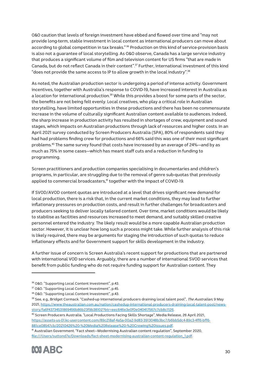O&O caution that levels of foreign investment have ebbed and flowed over time and "may not provide long-term, stable investment in local content as international producers can move about according to global competition in tax breaks."<sup>36</sup> Production on this kind of service-provision basis is also not a guarantee of local storytelling. As O&O observe, Canada has a large service industry that produces a significant volume of film and television content for US firms "that are made in Canada, but do not reflect Canada in their content".37 Further, international investment of this kind "does not provide the same access to IP to allow growth in the local industry". $^{\rm 38}$ 

As noted, the Australian production sector is undergoing a period of intense activity. Government incentives, together with Australia's response to COVID-19, have increased interest in Australia as a location for international production.<sup>39</sup> While this provides a boost for some parts of the sector, the benefits are not being felt evenly. Local creatives, who play a critical role in Australian storytelling, have limited opportunities in these productions and there has been no commensurate increase in the volume of culturally significant Australian content available to audiences. Indeed, the sharp increase in production activity has resulted in shortages of crew, equipment and sound stages, which impacts on Australian productions through lack of resources and higher costs. In an April 2021 survey conducted by Screen Producers Australia (SPA), 80% of respondents said they had had problems finding crew for productions and 66% said this was one of their most significant problems.40 The same survey found that costs have increased by an average of 24%—and by as much as 75% in some cases—which has meant staff cuts and a reduction in funding to programming.

Screen practitioners and production companies specialising in documentaries and children's programs, in particular, are struggling due to the removal of genre sub-quotas that previously applied to commercial broadcasters,<sup>41</sup> together with the impact of COVID-19.

If SVOD/AVOD content quotas are introduced at a level that drives significant new demand for local production, there is a risk that, in the current market conditions, they may lead to further inflationary pressures on production costs, and result in further challenges for broadcasters and producers seeking to deliver locally tailored content. Over time, market conditions would be likely to stabilise as facilities and resources increased to meet demand, and suitably skilled creative personnel entered the industry. The likely result would be a more capable Australian production sector. However, it is unclear how long such a process might take. While further analysis of this risk is likely required, there may be arguments for staging the introduction of such quotas to reduce inflationary effects and for Government support for skills development in the industry.

A further issue of concern is Screen Australia's recent support for productions that are partnered with international VOD services. Arguably, there are a number of international SVOD services that benefit from public funding who do not require funding support for Australian content. They

<sup>36</sup> O&O. "Supporting Local Content Investment", p.43.

<sup>37</sup> O&O. "Supporting Local Content Investment", p.45.

<sup>38</sup> O&O. "Supporting Local Content Investment", p.43.

<sup>&</sup>lt;sup>39</sup> See, e.g., Bridget Cormack. "Cashed-up international producers draining local talent pool", The Australian, 9 May 2021, https://www.theaustralian.com.au/nation/cashedup-international-producers-draining-local-talent-pool/newsstory/fa6f43734531869456b86b23f9b38102?btr=eec646e3e0f0e040417567c7cb8c1126.

<sup>40</sup> Screen Producers Australia. "Local Productions Facing Skills Shortage", Media Release, 26 April 2021, https://assets-us-01.kc-usercontent.com/89c218af-4a5a-00a2-9d83-3913048b3bc7/b6bb5dc4-89c3-4ff6-bff6- 881ce08547cb/20210426%20-%20Media%20Release%20-%20Crewing%20issues.pdf.

<sup>41</sup> Australian Government. "Fact sheet—Modernising Australian content regulation", September 2020, file:///Users/suttond7e/Downloads/fact-sheet-modernising-australian-content-regulation\_1.pdf.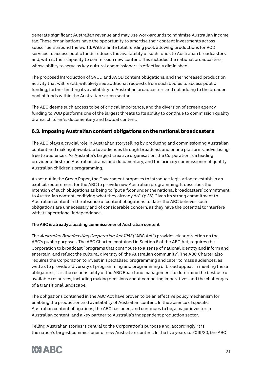generate significant Australian revenue and may use work-arounds to minimise Australian income tax. These organisations have the opportunity to amortise their content investments across subscribers around the world. With a finite total funding pool, allowing productions for VOD services to access public funds reduces the availability of such funds to Australian broadcasters and, with it, their capacity to commission new content. This includes the national broadcasters, whose ability to serve as key cultural commissioners is effectively diminished.

The proposed introduction of SVOD and AVOD content obligations, and the increased production activity that will result, will likely see additional requests from such bodies to access public funding, further limiting its availability to Australian broadcasters and not adding to the broader pool of funds within the Australian screen sector.

The ABC deems such access to be of critical importance, and the diversion of screen agency funding to VOD platforms one of the largest threats to its ability to continue to commission quality drama, children's, documentary and factual content.

# 6.3. Imposing Australian content obligations on the national broadcasters

The ABC plays a crucial role in Australian storytelling by producing and commissioning Australian content and making it available to audiences through broadcast and online platforms, advertisingfree to audiences. As Australia's largest creative organisation, the Corporation is a leading provider of first-run Australian drama and documentary, and the primary commissioner of quality Australian children's programming.

As set out in the Green Paper, the Government proposes to introduce legislation to establish an explicit requirement for the ABC to provide new Australian programming. It describes the intention of such obligations as being to "put a floor under the national broadcasters' commitment to Australian content, codifying what they already do". (p.36) Given its strong commitment to Australian content in the absence of content obligations to date, the ABC believes such obligations are unnecessary and of considerable concern, as they have the potential to interfere with its operational independence.

## **The ABC is already a leading commissioner of Australian content**

The Australian Broadcasting Corporation Act 1983 ("ABC Act") provides clear direction on the ABC's public purposes. The ABC Charter, contained in Section 6 of the ABC Act, requires the Corporation to broadcast "programs that contribute to a sense of national identity and inform and entertain, and reflect the cultural diversity of, the Australian community". The ABC Charter also requires the Corporation to invest in specialised programming and cater to mass audiences, as well as to provide a diversity of programming and programming of broad appeal. In meeting these obligations, it is the responsibility of the ABC Board and management to determine the best use of available resources, including making decisions about competing imperatives and the challenges of a transitional landscape.

The obligations contained in the ABC Act have proven to be an effective policy mechanism for enabling the production and availability of Australian content. In the absence of specific Australian content obligations, the ABC has been, and continues to be, a major investor in Australian content, and a key partner to Australia's independent production sector.

Telling Australian stories is central to the Corporation's purpose and, accordingly, it is the nation's largest commissioner of new Australian content. In the five years to 2019/20, the ABC

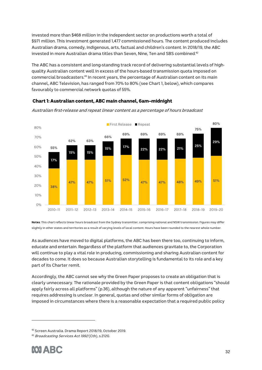invested more than \$468 million in the independent sector on productions worth a total of \$971 million. This investment generated 1,477 commissioned hours. The content produced includes Australian drama, comedy, Indigenous, arts, factual and children's content. In 2018/19, the ABC invested in more Australian drama titles than Seven, Nine, Ten and SBS combined.<sup>42</sup>

The ABC has a consistent and long-standing track record of delivering substantial levels of highquality Australian content well in excess of the hours-based transmission quota imposed on commercial broadcasters.43 In recent years, the percentage of Australian content on its main channel, ABC Television, has ranged from 70% to 80% (see Chart 1, below), which compares favourably to commercial network quotas of 55%.



Chart 1: Australian content, ABC main channel, 6am–midnight

Australian first-release and repeat linear content as a percentage of hours broadcast

Notes: This chart reflects linear hours broadcast from the Sydney transmitter, comprising national and NSW transmission. Figures may differ slightly in other states and territories as a result of varying levels of local content. Hours have been rounded to the nearest whole number.

As audiences have moved to digital platforms, the ABC has been there too, continuing to inform, educate and entertain. Regardless of the platform that audiences gravitate to, the Corporation will continue to play a vital role in producing, commissioning and sharing Australian content for decades to come. It does so because Australian storytelling is fundamental to its role and a key part of its Charter remit.

Accordingly, the ABC cannot see why the Green Paper proposes to create an obligation that is clearly unnecessary. The rationale provided by the Green Paper is that content obligations "should apply fairly across all platforms" (p.36), although the nature of any apparent "unfairness" that requires addressing is unclear. In general, quotas and other similar forms of obligation are imposed in circumstances where there is a reasonable expectation that a required public policy

<sup>43</sup> Broadcasting Services Act 1992 (Cth), s.212G.



<sup>42</sup> Screen Australia. Drama Report 2018/19, October 2019.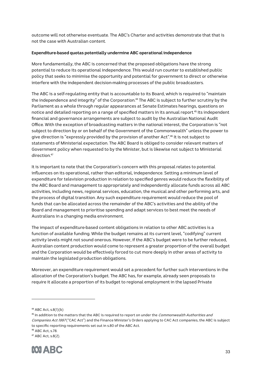outcome will not otherwise eventuate. The ABC's Charter and activities demonstrate that that is not the case with Australian content.

#### **Expenditure-based quotas potentially undermine ABC operational independence**

More fundamentally, the ABC is concerned that the proposed obligations have the strong potential to reduce its operational independence. This would run counter to established public policy that seeks to minimise the opportunity and potential for government to direct or otherwise interfere with the independent decision-making processes of the public broadcasters.

The ABC is a self-regulating entity that is accountable to its Board, which is required to "maintain the independence and integrity" of the Corporation.<sup>44</sup> The ABC is subject to further scrutiny by the Parliament as a whole through regular appearances at Senate Estimates hearings, questions on notice and detailed reporting on a range of specified matters in its annual report.<sup>45</sup> Its independent financial and governance arrangements are subject to audit by the Australian National Audit Office. With the exception of broadcasting matters in the national interest, the Corporation is "not subject to direction by or on behalf of the Government of the Commonwealth" unless the power to give direction is "expressly provided by the provision of another Act".<sup>46</sup> It is not subject to statements of Ministerial expectation. The ABC Board is obliged to consider relevant matters of Government policy when requested to by the Minister, but is likewise not subject to Ministerial direction. 47

It is important to note that the Corporation's concern with this proposal relates to potential influences on its operational, rather than editorial, independence. Setting a minimum level of expenditure for television production in relation to specified genres would reduce the flexibility of the ABC Board and management to appropriately and independently allocate funds across all ABC activities, including news, regional services, education, the musical and other performing arts, and the process of digital transition. Any such expenditure requirement would reduce the pool of funds that can be allocated across the remainder of the ABC's activities and the ability of the Board and management to prioritise spending and adapt services to best meet the needs of Australians in a changing media environment.

The impact of expenditure-based content obligations in relation to other ABC activities is a function of available funding. While the budget remains at its current level, "codifying" current activity levels might not sound onerous. However, if the ABC's budget were to be further reduced, Australian content production would come to represent a greater proportion of the overall budget and the Corporation would be effectively forced to cut more deeply in other areas of activity to maintain the legislated production obligations.

Moreover, an expenditure requirement would set a precedent for further such interventions in the allocation of the Corporation's budget. The ABC has, for example, already seen proposals to require it allocate a proportion of its budget to regional employment in the lapsed Private

<sup>47</sup> ABC Act, s.8(2).



<sup>44</sup> ABC Act, s.8(1)(b)

<sup>&</sup>lt;sup>45</sup> In addition to the matters that the ABC is required to report on under the *Commonwealth Authorities and* Companies Act 1997 ("CAC Act") and the Finance Minister's Orders applying to CAC Act companies, the ABC is subject to specific reporting requirements set out in s.80 of the ABC Act.

<sup>46</sup> ABC Act, s.78.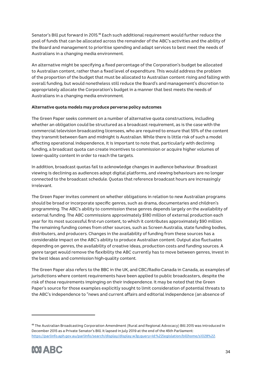Senator's Bill put forward in 2015.48 Each such additional requirement would further reduce the pool of funds that can be allocated across the remainder of the ABC's activities and the ability of the Board and management to prioritise spending and adapt services to best meet the needs of Australians in a changing media environment.

An alternative might be specifying a fixed percentage of the Corporation's budget be allocated to Australian content, rather than a fixed level of expenditure. This would address the problem of the proportion of the budget that must be allocated to Australian content rising and falling with overall funding, but would nonetheless still reduce the Board's and management's discretion to appropriately allocate the Corporation's budget in a manner that best meets the needs of Australians in a changing media environment.

## **Alternative quota models may produce perverse policy outcomes**

The Green Paper seeks comment on a number of alternative quota constructions, including whether an obligation could be structured as a broadcast requirement, as is the case with the commercial television broadcasting licensees, who are required to ensure that 55% of the content they transmit between 6am and midnight is Australian. While there is little risk of such a model affecting operational independence, it is important to note that, particularly with declining funding, a broadcast quota can create incentives to commission or acquire higher volumes of lower-quality content in order to reach the targets.

In addition, broadcast quotas fail to acknowledge changes in audience behaviour. Broadcast viewing is declining as audiences adopt digital platforms, and viewing behaviours are no longer connected to the broadcast schedule. Quotas that reference broadcast hours are increasingly irrelevant.

The Green Paper invites comment on whether obligations in relation to new Australian programs should be broad or incorporate specific genres, such as drama, documentaries and children's programming. The ABC's ability to commission these genres depends largely on the availability of external funding. The ABC commissions approximately \$180 million of external production each year for its most successful first-run content, to which it contributes approximately \$90 million. The remaining funding comes from other sources, such as Screen Australia, state funding bodies, distributers, and producers. Changes in the availability of funding from these sources has a considerable impact on the ABC's ability to produce Australian content. Output also fluctuates depending on genres, the availability of creative ideas, production costs and funding sources. A genre target would remove the flexibility the ABC currently has to move between genres, invest in the best ideas and commission high-quality content.

The Green Paper also refers to the BBC in the UK, and CBC/Radio-Canada in Canada, as examples of jurisdictions where content requirements have been applied to public broadcasters, despite the risk of those requirements impinging on their independence. It may be noted that the Green Paper's source for those examples explicitly sought to limit consideration of potential threats to the ABC's independence to "news and current affairs and editorial independence (an absence of

<sup>48</sup> The Australian Broadcasting Corporation Amendment (Rural and Regional Advocacy) Bill 2015 was introduced in December 2015 as a Private Senator's Bill. It lapsed in July 2019 at the end of the 45th Parliament: https://parlinfo.aph.gov.au/parlInfo/search/display/display.w3p;query=Id:%22legislation/billhome/s1028%22.

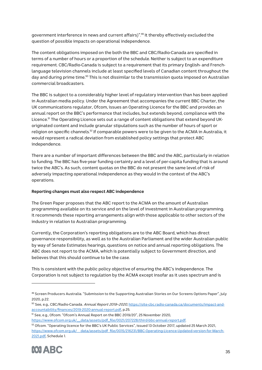government interference in news and current affairs)". <sup>49</sup> It thereby effectively excluded the question of possible impacts on operational independence.

The content obligations imposed on the both the BBC and CBC/Radio-Canada are specified in terms of a number of hours or a proportion of the schedule. Neither is subject to an expenditure requirement. CBC/Radio-Canada is subject to a requirement that its primary English- and Frenchlanguage television channels include at least specified levels of Canadian content throughout the day and during prime time.<sup>50</sup> This is not dissimilar to the transmission quota imposed on Australian commercial broadcasters.

The BBC is subject to a considerably higher level of regulatory intervention than has been applied in Australian media policy. Under the Agreement that accompanies the current BBC Charter, the UK communications regulator, Ofcom, issues an Operating Licence for the BBC and provides an annual report on the BBC's performance that includes, but extends beyond, compliance with the Licence.<sup>51</sup> The Operating Licence sets out a range of content obligations that extend beyond UKoriginated content and include granular stipulations such as the number of hours of sport or religion on specific channels. <sup>52</sup> If comparable powers were to be given to the ACMA in Australia, it would represent a radical deviation from established policy settings that protect ABC independence.

There are a number of important differences between the BBC and the ABC, particularly in relation to funding. The BBC has five-year funding certainty and a level of per-capita funding that is around twice the ABC's. As such, content quotas on the BBC do not present the same level of risk of adversely impacting operational independence as they would in the context of the ABC's operations.

## **Reporting changes must also respect ABC independence**

The Green Paper proposes that the ABC report to the ACMA on the amount of Australian programming available on its service and on the level of investment in Australian programming. It recommends these reporting arrangements align with those applicable to other sectors of the industry in relation to Australian programming.

Currently, the Corporation's reporting obligations are to the ABC Board, which has direct governance responsibility, as well as to the Australian Parliament and the wider Australian public by way of Senate Estimates hearings, questions on notice and annual reporting obligations. The ABC does not report to the ACMA, which is potentially subject to Government direction, and believes that this should continue to be the case.

This is consistent with the public policy objective of ensuring the ABC's independence. The Corporation is not subject to regulation by the ACMA except insofar as it uses spectrum and is

<sup>51</sup> See, e.g., Ofcom. "Ofcom's Annual Report on the BBC 2019/20", 25 November 2020,

<sup>52</sup> Ofcom. "Operating licence for the BBC's UK Public Services", issued 13 October 2017, updated 25 March 2021, https://www.ofcom.org.uk/\_\_data/assets/pdf\_file/0015/216231/BBC-Operating-Licence-Updated-version-for-March-2021.pdf, Schedule 1.



<sup>&</sup>lt;sup>49</sup> Screen Producers Australia. "Submission to the Supporting Australian Stories on Our Screens Options Paper", July 2020, p.22.

<sup>50</sup> See, e.g., CBC/Radio-Canada. Annual Report 2019-2020, https://site-cbc.radio-canada.ca/documents/impact-andaccountability/finances/2019-2020-annual-report.pdf, p.25.

https://www.ofcom.org.uk/\_\_data/assets/pdf\_file/0021/207228/third-bbc-annual-report.pdf.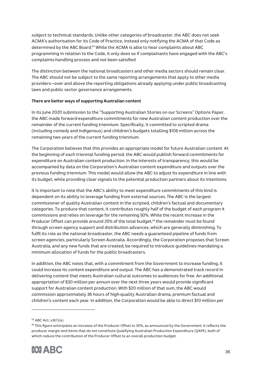subject to technical standards. Unlike other categories of broadcaster, the ABC does not seek ACMA's authorisation for its Code of Practice, instead only notifying the ACMA of that Code as determined by the ABC Board. <sup>53</sup> While the ACMA is able to hear complaints about ABC programming in relation to the Code, it only does so if complainants have engaged with the ABC's complaints-handling process and not been satisfied.

The distinction between the national broadcasters and other media sectors should remain clear. The ABC should not be subject to the same reporting arrangements that apply to other media providers—over and above the reporting obligations already applying under public broadcasting laws and public sector governance arrangements.

## **There are better ways of supporting Australian content**

In its June 2020 submission to the "Supporting Australian Stories on our Screens" Options Paper, the ABC made forward-expenditure commitments for new Australian content production over the remainder of the current funding triennium. Specifically, it committed to scripted drama (including comedy and Indigenous) and children's budgets totalling \$106 million across the remaining two years of the current funding triennium.

The Corporation believes that this provides an appropriate model for future Australian content. At the beginning of each triennial funding period, the ABC would publish forward commitments for expenditure on Australian content production. In the interests of transparency, this would be accompanied by data on the Corporation's Australian content expenditure and outputs over the previous funding triennium. This model would allow the ABC to adjust its expenditure in line with its budget, while providing clear signals to the potential production partners about its intentions.

It is important to note that the ABC's ability to meet expenditure commitments of this kind is dependent on its ability to leverage funding from external sources. The ABC is the largest commissioner of quality Australian content in the scripted, children's factual and documentary categories. To produce that content, it contributes roughly half of the budget of each program it commissions and relies on leverage for the remaining 50%. While the recent increase in the Producer Offset can provide around 25% of the total budget,<sup>54</sup> the remainder must be found through screen agency support and distribution advances, which are generally diminishing. To fulfil its role as the national broadcaster, the ABC needs a guaranteed pipeline of funds from screen agencies, particularly Screen Australia. Accordingly, the Corporation proposes that Screen Australia, and any new funds that are created, be required to introduce guidelines mandating a minimum allocation of funds for the public broadcasters.

In addition, the ABC notes that, with a commitment from the Government to increase funding, it could increase its content expenditure and output. The ABC has a demonstrated track record in delivering content that meets Australian cultural outcomes to audiences for free. An additional appropriation of \$30 million per annum over the next three years would provide significant support for Australian content production. With \$20 million of that sum, the ABC would commission approximately 36 hours of high-quality Australian drama, premium factual and children's content each year. In addition, the Corporation would be able to direct \$10 million per

<sup>54</sup> This figure anticipates an increase of the Producer Offset to 30%, as announced by the Government. It reflects the producer margin and items that do not constitute Qualifying Australian Production Expenditure (QAPE), both of which reduce the contribution of the Producer Offset to an overall production budget.



<sup>53</sup> ABC Act, s.8(1)(e).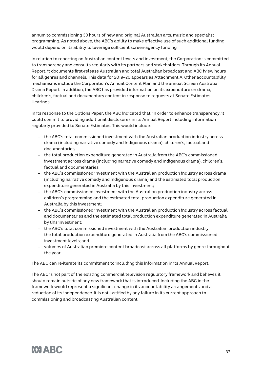annum to commissioning 30 hours of new and original Australian arts, music and specialist programming. As noted above, the ABC's ability to make effective use of such additional funding would depend on its ability to leverage sufficient screen-agency funding.

In relation to reporting on Australian content levels and investment, the Corporation is committed to transparency and consults regularly with its partners and stakeholders. Through its Annual Report, it documents first-release Australian and total Australian broadcast and ABC iview hours for all genres and channels. This data for 2019–20 appears as Attachment A. Other accountability mechanisms include the Corporation's Annual Content Plan and the annual Screen Australia Drama Report. In addition, the ABC has provided information on its expenditure on drama, children's, factual and documentary content in response to requests at Senate Estimates Hearings.

In its response to the Options Paper, the ABC indicated that, in order to enhance transparency, it could commit to providing additional disclosures in its Annual Report including information regularly provided to Senate Estimates. This would include:

- the ABC's total commissioned investment with the Australian production industry across drama (including narrative comedy and Indigenous drama), children's, factual and documentaries;
- the total production expenditure generated in Australia from the ABC's commissioned investment across drama (including narrative comedy and Indigenous drama), children's, factual and documentaries;
- the ABC's commissioned investment with the Australian production industry across drama (including narrative comedy and Indigenous drama) and the estimated total production expenditure generated in Australia by this investment;
- the ABC's commissioned investment with the Australian production industry across children's programming and the estimated total production expenditure generated in Australia by this investment;
- the ABC's commissioned investment with the Australian production industry across factual and documentaries and the estimated total production expenditure generated in Australia by this investment;
- the ABC's total commissioned investment with the Australian production industry;
- the total production expenditure generated in Australia from the ABC's commissioned investment levels; and
- volumes of Australian premiere content broadcast across all platforms by genre throughout the year.

The ABC can re-iterate its commitment to including this information in its Annual Report.

The ABC is not part of the existing commercial television regulatory framework and believes it should remain outside of any new framework that is introduced. Including the ABC in the framework would represent a significant change in its accountability arrangements and a reduction of its independence. It is not justified by any failure in its current approach to commissioning and broadcasting Australian content.

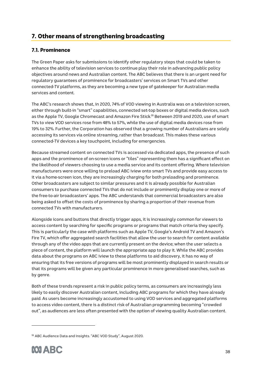# 7. Other means of strengthening broadcasting

# 7.1. Prominence

The Green Paper asks for submissions to identify other regulatory steps that could be taken to enhance the ability of television services to continue play their role in advancing public policy objectives around news and Australian content. The ABC believes that there is an urgent need for regulatory guarantees of prominence for broadcasters' services on Smart TVs and other connected-TV platforms, as they are becoming a new type of gatekeeper for Australian media services and content.

The ABC's research shows that, in 2020, 74% of VOD viewing in Australia was on a television screen, either through built-in "smart" capabilities, connected set-top boxes or digital media devices, such as the Apple TV, Google Chromecast and Amazon Fire Stick.<sup>55</sup> Between 2019 and 2020, use of smart TVs to view VOD services rose from 48% to 57%, while the use of digital media devices rose from 19% to 32%. Further, the Corporation has observed that a growing number of Australians are solely accessing its services via online streaming, rather than broadcast. This makes these various connected-TV devices a key touchpoint, including for emergencies.

Because streamed content on connected TVs is accessed via dedicated apps, the presence of such apps and the prominence of on-screen icons or "tiles" representing them has a significant effect on the likelihood of viewers choosing to use a media service and its content offering. Where television manufacturers were once willing to preload ABC iview onto smart TVs and provide easy access to it via a home-screen icon, they are increasingly charging for both preloading and prominence. Other broadcasters are subject to similar pressures and it is already possible for Australian consumers to purchase connected TVs that do not include or prominently display one or more of the free-to-air broadcasters' apps. The ABC understands that commercial broadcasters are also being asked to offset the costs of prominence by sharing a proportion of their revenue from connected TVs with manufacturers.

Alongside icons and buttons that directly trigger apps, it is increasingly common for viewers to access content by searching for specific programs or programs that match criteria they specify. This is particularly the case with platforms such as Apple TV, Google's Android TV and Amazon's Fire TV, which offer aggregated search facilities that allow the user to search for content available through any of the video apps that are currently present on the device; when the user selects a piece of content, the platform will launch the appropriate app to play it. While the ABC provides data about the programs on ABC iview to these platforms to aid discovery, it has no way of ensuring that its free versions of programs will be most prominently displayed in search results or that its programs will be given any particular prominence in more generalised searches, such as by genre.

Both of these trends represent a risk in public policy terms, as consumers are increasingly less likely to easily discover Australian content, including ABC programs for which they have already paid. As users become increasingly accustomed to using VOD services and aggregated platforms to access video content, there is a distinct risk of Australian programming becoming "crowded out", as audiences are less often presented with the option of viewing quality Australian content.

<sup>55</sup> ABC Audience Data and Insights. "ABC VOD Study", August 2020.

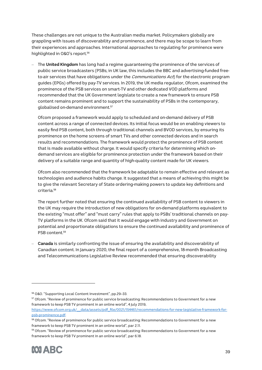These challenges are not unique to the Australian media market. Policymakers globally are grappling with issues of discoverability and prominence, and there may be scope to learn from their experiences and approaches. International approaches to regulating for prominence were highlighted in O&O's report. 56

– The **United Kingdom** has long had a regime guaranteeing the prominence of the services of public service broadcasters (PSBs; in UK law, this includes the BBC and advertising-funded freeto-air services that have obligations under the *Communications Act*) for the electronic program guides (EPGs) offered by pay-TV services. In 2019, the UK media regulator, Ofcom, examined the prominence of the PSB services on smart-TV and other dedicated VOD platforms and recommended that the UK Government legislate to create a new framework to ensure PSB content remains prominent and to support the sustainability of PSBs in the contemporary, globalised on-demand environment. 57

Ofcom proposed a framework would apply to scheduled and on-demand delivery of PSB content across a range of connected devices. Its initial focus would be on enabling viewers to easily find PSB content, both through traditional channels and BVOD services, by ensuring its prominence on the home screens of smart TVs and other connected devices and in search results and recommendations. The framework would protect the prominence of PSB content that is made available without charge. It would specify criteria for determining which ondemand services are eligible for prominence protection under the framework based on their delivery of a suitable range and quantity of high-quality content made for UK viewers.

Ofcom also recommended that the framework be adaptable to remain effective and relevant as technologies and audience habits change. It suggested that a means of achieving this might be to give the relevant Secretary of State ordering-making powers to update key definitions and criteria.58

The report further noted that ensuring the continued availability of PSB content to viewers in the UK may require the introduction of new obligations for on-demand platforms equivalent to the existing "must offer" and "must carry" rules that apply to PSBs' traditional channels on pay-TV platforms in the UK. Ofcom said that it would engage with industry and Government on potential and proportionate obligations to ensure the continued availability and prominence of PSB content.<sup>59</sup>

– **Canada** is similarly confronting the issue of ensuring the availability and discoverability of Canadian content. In January 2020, the final report of a comprehensive, 18-month Broadcasting and Telecommunications Legislative Review recommended that ensuring discoverability

<sup>59</sup> Ofcom. "Review of prominence for public service broadcasting: Recommendations to Government for a new framework to keep PSB TV prominent in an online world", par 6.18.



<sup>56</sup> O&O. "Supporting Local Content Investment", pp.29–33.

<sup>57</sup> Ofcom. "Review of prominence for public service broadcasting: Recommendations to Government for a new framework to keep PSB TV prominent in an online world", 4 July 2019,

https://www.ofcom.org.uk/\_\_data/assets/pdf\_file/0021/154461/recommendations-for-new-legislative-framework-forpsb-prominence.pdf.

<sup>58</sup> Ofcom. "Review of prominence for public service broadcasting: Recommendations to Government for a new framework to keep PSB TV prominent in an online world", par 2.11.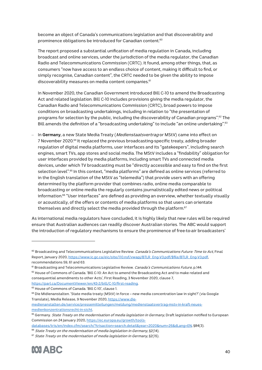become an object of Canada's communications legislation and that discoverability and prominence obligations be introduced for Canadian content.<sup>60</sup>

The report proposed a substantial unification of media regulation in Canada, including broadcast and online services, under the jurisdiction of the media regulator, the Canadian Radio and Telecommunications Commission (CRTC). It found, among other things, that, as consumers "now have access to an endless choice of content, making it difficult to find, or simply recognise, Canadian content", the CRTC needed to be given the ability to impose discoverability measures on media content companies.<sup>61</sup>

In November 2020, the Canadian Government introduced Bill C-10 to amend the Broadcasting Act and related legislation. Bill C-10 includes provisions giving the media regulator, the Canadian Radio and Telecommunications Commission (CRTC), broad powers to impose conditions on broadcasting undertakings, including in relation to "the presentation of programs for selection by the public, including the discoverability of Canadian programs".<sup>62</sup> The Bill amends the definition of a "broadcasting undertaking" to include "an online undertaking".<sup>63</sup>

– In **Germany**, a new State Media Treaty (Medienstaatsvertrag or MStV) came into effect on 7 November 2020.64 It replaced the previous broadcasting-specific treaty, adding broader regulation of digital media platforms, user interfaces and its "gatekeepers", including search engines, smart TVs, app stores and social media. The MStV includes a "findability" obligation for user interfaces provided by media platforms, including smart TVs and connected media devices, under which TV broadcasting must be "directly accessible and easy to find on the first selection level". <sup>65</sup> In this context, "media platforms" are defined as online services (referred to in the English translation of the MStV as "telemedia") that provide users with an offering determined by the platform provider that combines radio, online media comparable to broadcasting or online media the regularly contains journalistically edited news or political information.<sup>66</sup> "User interfaces" are defined as providing an overview, whether textually visually or acoustically, of the offers or contents of media platforms so that users can orientate themselves and directly select the media provided through the platform.<sup>67</sup>

As international media regulators have concluded, it is highly likely that new rules will be required ensure that Australian audiences can readily discover Australian stories. The ABC would support the introduction of regulatory mechanisms to ensure the prominence of free-to-air broadcasters'

 $67$  State Treaty on the modernisation of media legislation in Germany, §2(15).



<sup>60</sup> Broadcasting and Telecommunications Legislative Review. Canada's Communications Future: Time to Act, Final Report, January 2020, https://www.ic.gc.ca/eic/site/110.nsf/vwapj/BTLR\_Eng-V3.pdf/\$file/BTLR\_Eng-V3.pdf, recommendations 59, 61 and 63.

<sup>61</sup> Broadcasting and Telecommunications Legislative Review. Canada's Communications Future, p.144. 62 House of Commons of Canada. 'Bill C-10: An Act to amend the Broadcasting Act and to make related and consequential amendments to other Acts', First Reading, 3 November 2020, clause 7, https://parl.ca/DocumentViewer/en/43-2/bill/C-10/first-reading.

<sup>63</sup> House of Commons of Canada. 'Bill C-10', clause 1.

<sup>64</sup> Die Midienanstalten. 'State media treaty (MStV) in force – new media concentration law in sight?' (via Google Translate), Media Release, 9 November 2020, https://www.die-

medienanstalten.de/service/pressemitteilungen/meldung/medienstaatsvertrag-mstv-in-kraft-neuesmedienkonzentrationsrecht-in-sicht.

<sup>&</sup>lt;sup>65</sup> Germany. State Treaty on the modernisation of media legislation in Germany, Draft legislation notified to European Commission on 24 January 2020, https://ec.europa.eu/growth/tools-

databases/tris/en/index.cfm/search/?trisaction=search.detail&year=2020&num=26&dLang=EN, §84(3).

 $66$  State Treaty on the modernisation of media legislation in Germany, §2(14).